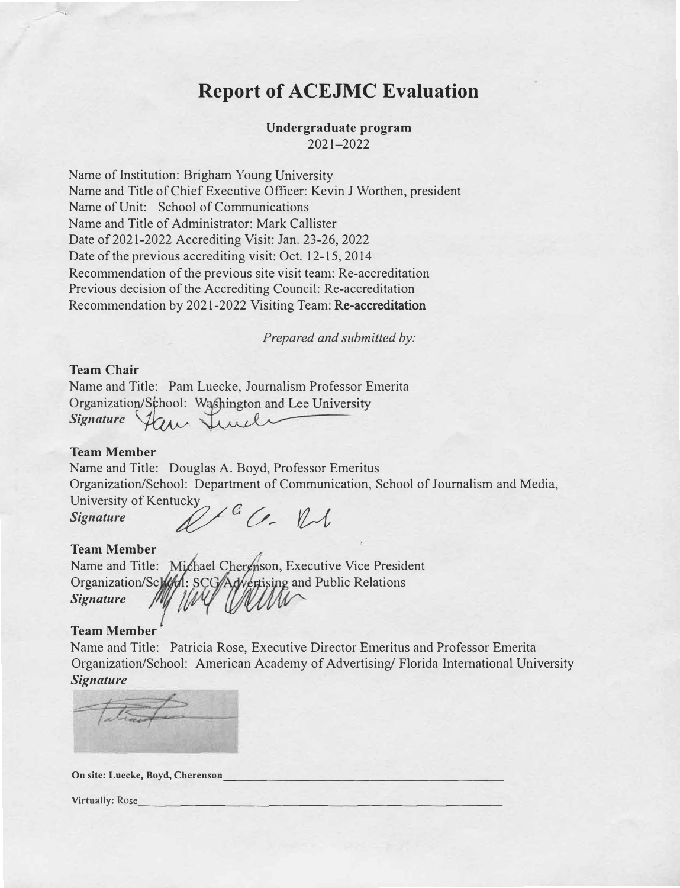# **Report of ACEJMC Evaluation**

#### **Undergraduate program**  2021-2022

Name of Institution: Brigham Young University Name and Title of Chief Executive Officer: Kevin J Worthen, president Name of Unit: School of Communications Name and Title of Administrator: Mark Callister Date of 2021-2022 Accrediting Visit: Jan. 23-26, 2022 Date of the previous accrediting visit: Oct. 12-15, 2014 Recommendation of the previous site visit team: Re-accreditation Previous decision of the Accrediting Council: Re-accreditation Recommendation by 2021-2022 Visiting Team: Re-accreditation

*Prepared and submitted by:* 

#### **Team Chair**

---.

Name and Title: Pam Luecke, Journalism Professor Emerita Organization/School: Washington and Lee University Signature from Junel

#### **Team Member**

Name and Title: Douglas A. Boyd, Professor Emeritus Organization/School: Department of Communication, School of Journalism and Media,

University of Kentucky<br>Signature *ab* 

#### **Team Member**

Name and Title: Michael Cherenson, Executive Vice President Organization/School: SCG/Advestising and Public Relations Welth *Signature*   $\mathcal{U}^{\ell}$ 

#### **Team Member**

Name and Title: Patricia Rose, Executive Director Emeritus and Professor Emerita Organization/School: American Academy of Advertising/ Florida International University *Signature* 

**On site: Luecke, Boyd, Cherenson \_\_\_\_\_\_\_\_\_\_\_\_\_\_\_\_\_\_ \_** 

**Virtually: Rose**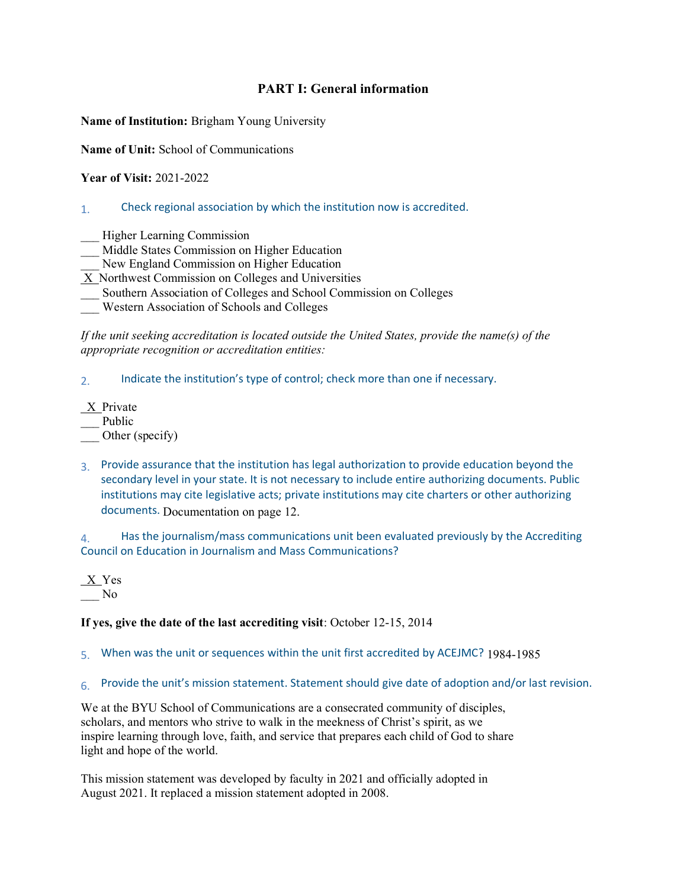#### **PART I: General information**

**Name of Institution:** Brigham Young University

**Name of Unit:** School of Communications

**Year of Visit:** 2021-2022

#### 1. Check regional association by which the institution now is accredited.

- \_\_\_ Higher Learning Commission
- \_\_\_ Middle States Commission on Higher Education
- New England Commission on Higher Education
- X Northwest Commission on Colleges and Universities
- \_\_\_ Southern Association of Colleges and School Commission on Colleges
- \_\_\_ Western Association of Schools and Colleges

*If the unit seeking accreditation is located outside the United States, provide the name(s) of the appropriate recognition or accreditation entities:* 

2. Indicate the institution's type of control; check more than one if necessary.

- X Private
- Public
- Other (specify)
- 3. Provide assurance that the institution has legal authorization to provide education beyond the secondary level in your state. It is not necessary to include entire authorizing documents. Public institutions may cite legislative acts; private institutions may cite charters or other authorizing documents. Documentation on page 12.

4. Has the journalism/mass communications unit been evaluated previously by the Accrediting Council on Education in Journalism and Mass Communications?

 $X$  Yes \_\_\_ No

#### **If yes, give the date of the last accrediting visit**: October 12-15, 2014

- 5. When was the unit or sequences within the unit first accredited by ACEJMC? 1984-1985
- 6. Provide the unit's mission statement. Statement should give date of adoption and/or last revision.

We at the BYU School of Communications are a consecrated community of disciples, scholars, and mentors who strive to walk in the meekness of Christ's spirit, as we inspire learning through love, faith, and service that prepares each child of God to share light and hope of the world.

This mission statement was developed by faculty in 2021 and officially adopted in August 2021. It replaced a mission statement adopted in 2008.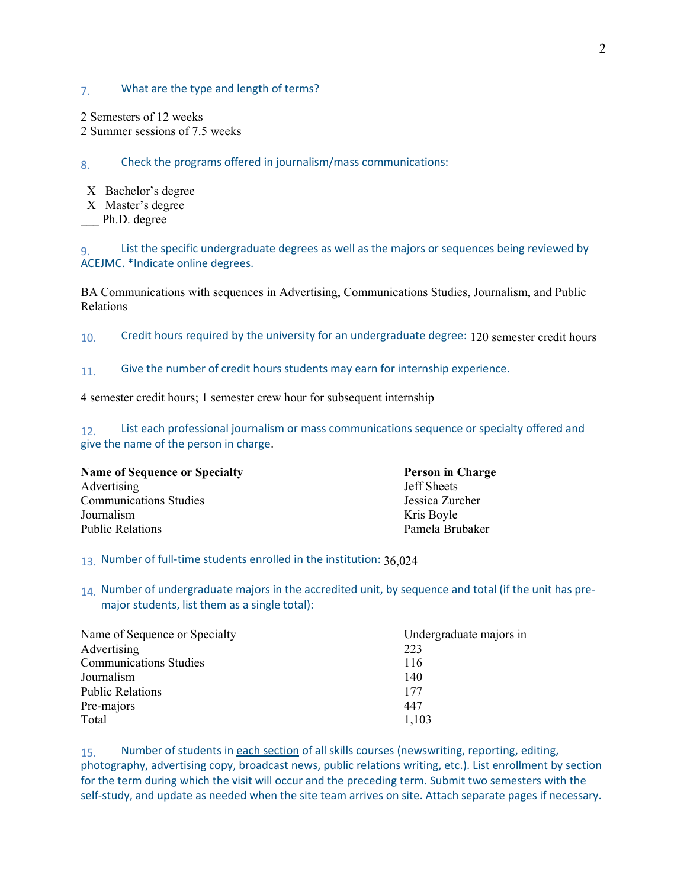#### 7. What are the type and length of terms?

2 Semesters of 12 weeks

2 Summer sessions of 7.5 weeks

8. Check the programs offered in journalism/mass communications:

 $X$  Bachelor's degree  $X$  Master's degree Ph.D. degree

9. List the specific undergraduate degrees as well as the majors or sequences being reviewed by ACEJMC. \*Indicate online degrees.

BA Communications with sequences in Advertising, Communications Studies, Journalism, and Public Relations

10. Credit hours required by the university for an undergraduate degree: 120 semester credit hours

11. Give the number of credit hours students may earn for internship experience.

4 semester credit hours; 1 semester crew hour for subsequent internship

12. List each professional journalism or mass communications sequence or specialty offered and give the name of the person in charge.

| <b>Name of Sequence or Specialty</b> | <b>Person in Charge</b> |
|--------------------------------------|-------------------------|
| Advertising                          | <b>Jeff Sheets</b>      |
| <b>Communications Studies</b>        | Jessica Zurcher         |
| Journalism                           | Kris Boyle              |
| <b>Public Relations</b>              | Pamela Brubaker         |

13. Number of full-time students enrolled in the institution: 36,024

14. Number of undergraduate majors in the accredited unit, by sequence and total (if the unit has premajor students, list them as a single total):

| Name of Sequence or Specialty | Undergraduate majors in |
|-------------------------------|-------------------------|
| Advertising                   | 223                     |
| <b>Communications Studies</b> | 116                     |
| Journalism                    | 140                     |
| <b>Public Relations</b>       | 177                     |
| Pre-majors                    | 447                     |
| Total                         | 1,103                   |

15. Number of students in each section of all skills courses (newswriting, reporting, editing, photography, advertising copy, broadcast news, public relations writing, etc.). List enrollment by section for the term during which the visit will occur and the preceding term. Submit two semesters with the self-study, and update as needed when the site team arrives on site. Attach separate pages if necessary.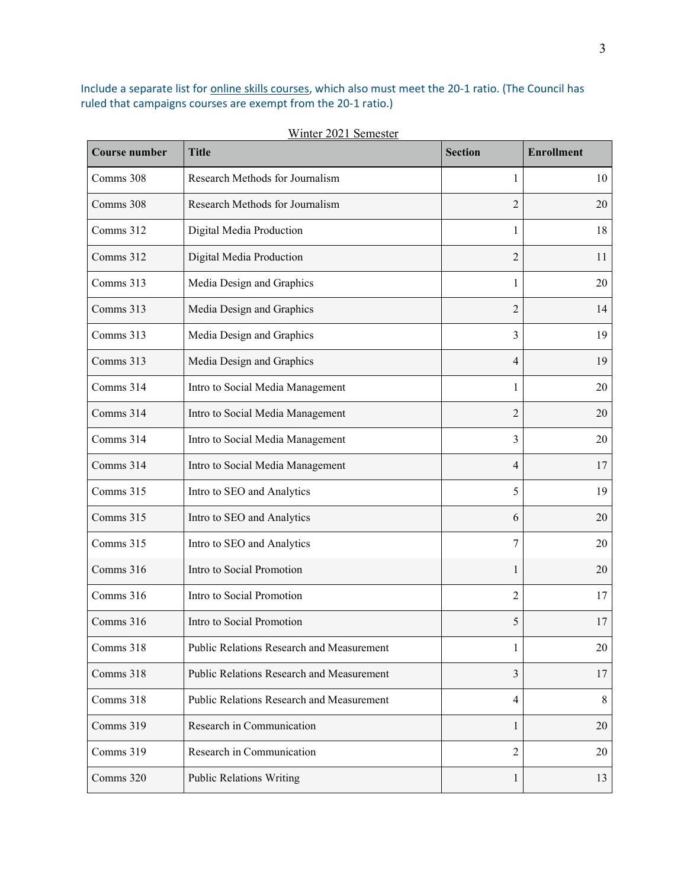Include a separate list for online skills courses, which also must meet the 20-1 ratio. (The Council has ruled that campaigns courses are exempt from the 20-1 ratio.)

| <b>Course number</b> | <b>Title</b>                              | <b>Section</b> | <b>Enrollment</b> |
|----------------------|-------------------------------------------|----------------|-------------------|
| Comms 308            | Research Methods for Journalism           | 1              | 10                |
| Comms 308            | Research Methods for Journalism           | 2              | 20                |
| Comms 312            | Digital Media Production                  | 1              | 18                |
| Comms 312            | Digital Media Production                  | $\overline{2}$ | 11                |
| Comms 313            | Media Design and Graphics                 | 1              | 20                |
| Comms 313            | Media Design and Graphics                 | $\overline{2}$ | 14                |
| Comms 313            | Media Design and Graphics                 | 3              | 19                |
| Comms 313            | Media Design and Graphics                 | 4              | 19                |
| Comms 314            | Intro to Social Media Management          | 1              | 20                |
| Comms 314            | Intro to Social Media Management          | $\overline{c}$ | 20                |
| Comms 314            | Intro to Social Media Management          | 3              | 20                |
| Comms 314            | Intro to Social Media Management          | 4              | 17                |
| Comms 315            | Intro to SEO and Analytics                | 5              | 19                |
| Comms 315            | Intro to SEO and Analytics                | 6              | 20                |
| Comms 315            | Intro to SEO and Analytics                | 7              | 20                |
| Comms 316            | Intro to Social Promotion                 | 1              | 20                |
| Comms 316            | Intro to Social Promotion                 | $\overline{2}$ | 17                |
| Comms 316            | Intro to Social Promotion                 | 5              | 17                |
| Comms 318            | Public Relations Research and Measurement | 1              | 20                |
| Comms 318            | Public Relations Research and Measurement | 3              | 17                |
| Comms 318            | Public Relations Research and Measurement | 4              | 8                 |
| Comms 319            | Research in Communication                 | 1              | 20                |
| Comms 319            | Research in Communication                 | 2              | 20                |
| Comms 320            | <b>Public Relations Writing</b>           | 1              | 13                |

Winter 2021 Semester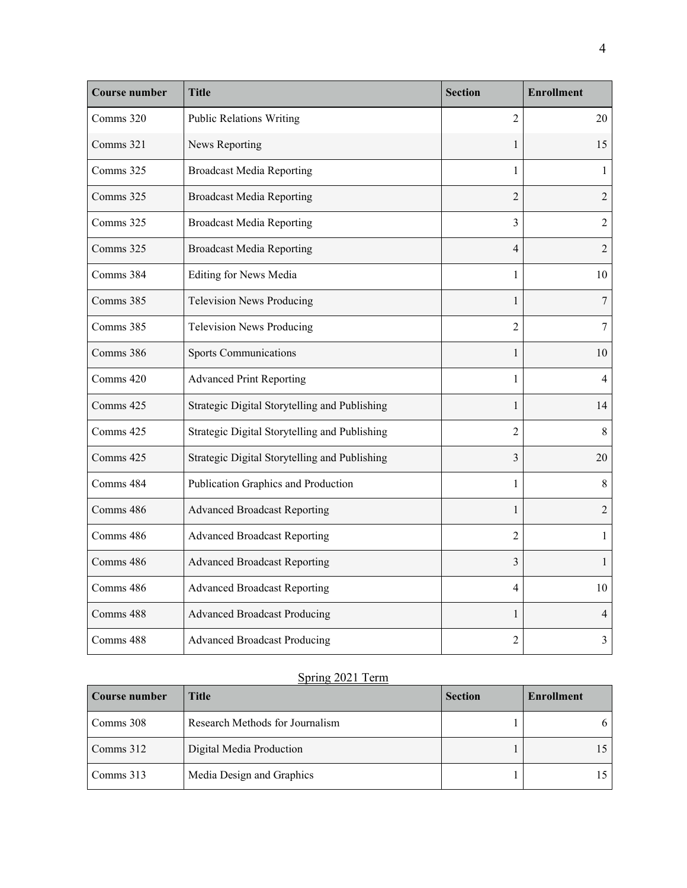| <b>Course number</b> | Title                                         | <b>Section</b>          | <b>Enrollment</b> |
|----------------------|-----------------------------------------------|-------------------------|-------------------|
| Comms 320            | <b>Public Relations Writing</b>               | $\overline{2}$          | 20                |
| Comms 321            | News Reporting                                | 1                       | 15                |
| Comms 325            | <b>Broadcast Media Reporting</b>              | 1                       | $\mathbf{1}$      |
| Comms 325            | <b>Broadcast Media Reporting</b>              | $\overline{2}$          | $\overline{2}$    |
| Comms 325            | <b>Broadcast Media Reporting</b>              | 3                       | $\overline{2}$    |
| Comms 325            | <b>Broadcast Media Reporting</b>              | 4                       | $\overline{2}$    |
| Comms 384            | <b>Editing for News Media</b>                 | 1                       | 10                |
| Comms 385            | <b>Television News Producing</b>              | $\mathbf{1}$            | $\tau$            |
| Comms 385            | <b>Television News Producing</b>              | 2                       | 7                 |
| Comms 386            | <b>Sports Communications</b>                  | 1                       | 10                |
| Comms 420            | <b>Advanced Print Reporting</b>               | 1                       | 4                 |
| Comms 425            | Strategic Digital Storytelling and Publishing | $\mathbf{1}$            | 14                |
| Comms 425            | Strategic Digital Storytelling and Publishing | $\overline{2}$          | $\,8\,$           |
| Comms 425            | Strategic Digital Storytelling and Publishing | 3                       | 20                |
| Comms 484            | Publication Graphics and Production           | $\mathbf{1}$            | 8                 |
| Comms 486            | <b>Advanced Broadcast Reporting</b>           | 1                       | $\overline{2}$    |
| Comms 486            | <b>Advanced Broadcast Reporting</b>           | $\overline{2}$          | $\mathbf{1}$      |
| Comms 486            | <b>Advanced Broadcast Reporting</b>           | $\overline{\mathbf{3}}$ | 1                 |
| Comms 486            | <b>Advanced Broadcast Reporting</b>           | 4                       | 10                |
| Comms 488            | <b>Advanced Broadcast Producing</b>           | $\mathbf{1}$            | 4                 |
| Comms 488            | <b>Advanced Broadcast Producing</b>           | $\overline{c}$          | 3                 |

# Spring 2021 Term

| Course number | Title                           | <b>Section</b> | <b>Enrollment</b> |
|---------------|---------------------------------|----------------|-------------------|
| Comms 308     | Research Methods for Journalism |                | 6                 |
| Comms 312     | Digital Media Production        |                | 15                |
| Comms 313     | Media Design and Graphics       |                |                   |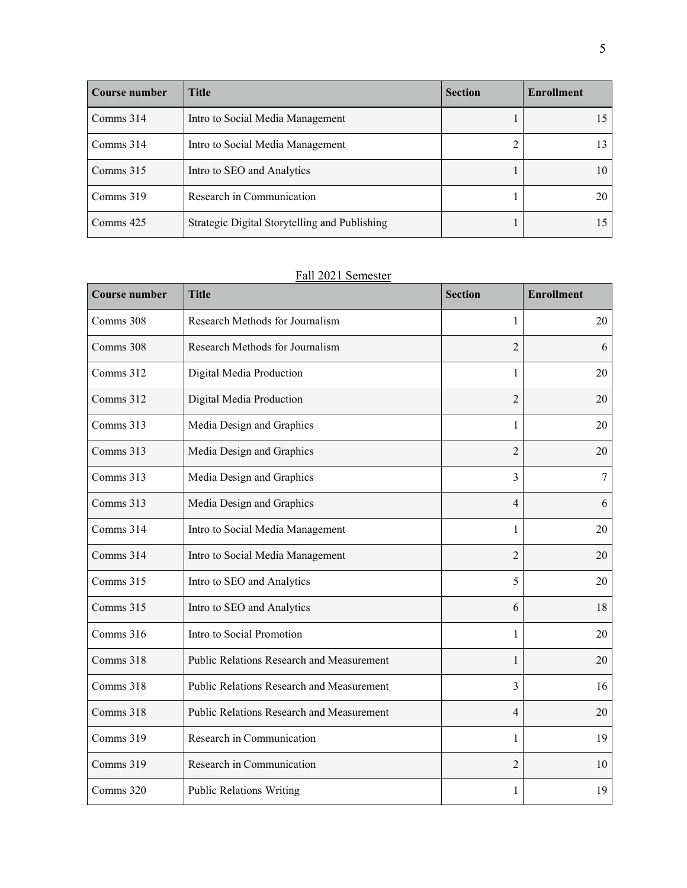| Course number | Title                                         | <b>Section</b> | <b>Enrollment</b> |
|---------------|-----------------------------------------------|----------------|-------------------|
| Comms 314     | Intro to Social Media Management              |                |                   |
| Comms $314$   | Intro to Social Media Management              |                |                   |
| Comms $315$   | Intro to SEO and Analytics                    |                | 10                |
| Comms 319     | Research in Communication                     |                | 20                |
| Comms 425     | Strategic Digital Storytelling and Publishing |                |                   |

# Fall 2021 Semester

| <b>Course number</b> | <b>Title</b>                                     | <b>Section</b> | <b>Enrollment</b> |
|----------------------|--------------------------------------------------|----------------|-------------------|
| Comms 308            | Research Methods for Journalism                  | 1              | 20                |
| Comms 308            | Research Methods for Journalism                  | $\overline{2}$ | 6                 |
| Comms 312            | Digital Media Production                         | 1              | 20                |
| Comms 312            | Digital Media Production                         | $\overline{2}$ | 20                |
| Comms 313            | Media Design and Graphics                        | 1              | 20                |
| Comms 313            | Media Design and Graphics                        | $\overline{2}$ | 20                |
| Comms 313            | Media Design and Graphics                        | 3              | $\overline{7}$    |
| Comms 313            | Media Design and Graphics                        | $\overline{4}$ | 6                 |
| Comms 314            | Intro to Social Media Management                 | 1              | 20                |
| Comms 314            | Intro to Social Media Management                 | $\overline{2}$ | 20                |
| Comms 315            | Intro to SEO and Analytics                       | 5              | 20                |
| Comms 315            | Intro to SEO and Analytics                       | 6              | 18                |
| Comms 316            | Intro to Social Promotion                        | 1              | 20                |
| Comms 318            | <b>Public Relations Research and Measurement</b> | 1              | 20                |
| Comms 318            | Public Relations Research and Measurement        | 3              | 16                |
| Comms 318            | Public Relations Research and Measurement        | $\overline{4}$ | 20                |
| Comms 319            | Research in Communication                        | 1              | 19                |
| Comms 319            | Research in Communication                        | $\overline{c}$ | 10                |
| Comms 320            | <b>Public Relations Writing</b>                  | 1              | 19                |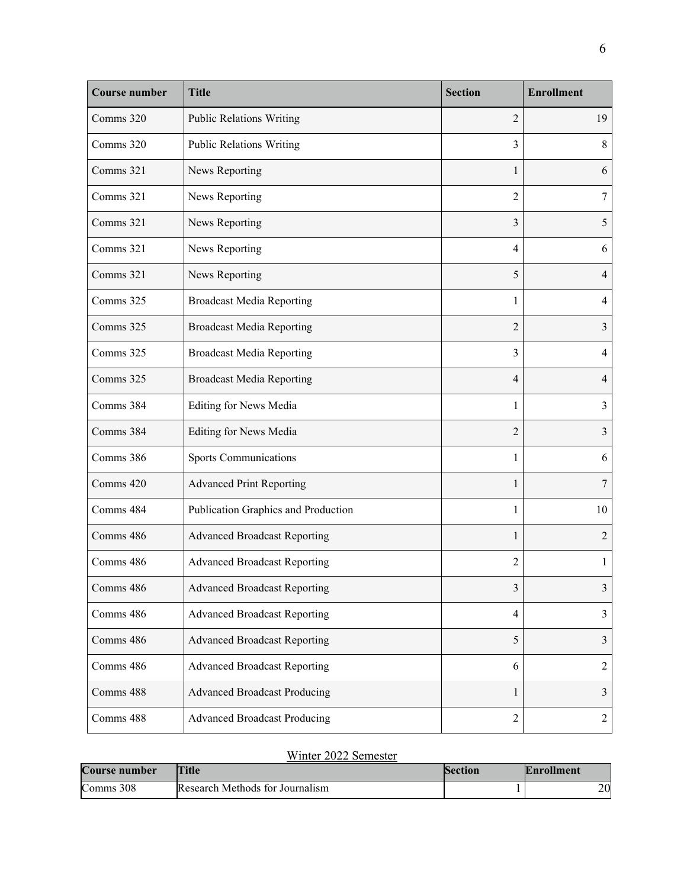| <b>Course number</b> | <b>Title</b>                        | <b>Section</b> | <b>Enrollment</b> |
|----------------------|-------------------------------------|----------------|-------------------|
| Comms 320            | <b>Public Relations Writing</b>     | $\overline{2}$ | 19                |
| Comms 320            | <b>Public Relations Writing</b>     | 3              | 8                 |
| Comms 321            | News Reporting                      | 1              | 6                 |
| Comms 321            | News Reporting                      | 2              | 7                 |
| Comms 321            | News Reporting                      | 3              | 5                 |
| Comms 321            | News Reporting                      | 4              | 6                 |
| Comms 321            | News Reporting                      | 5              | $\overline{4}$    |
| Comms 325            | <b>Broadcast Media Reporting</b>    | 1              | 4                 |
| Comms 325            | <b>Broadcast Media Reporting</b>    | $\overline{2}$ | $\overline{3}$    |
| Comms 325            | <b>Broadcast Media Reporting</b>    | 3              | $\overline{4}$    |
| Comms 325            | <b>Broadcast Media Reporting</b>    | $\overline{4}$ | $\overline{4}$    |
| Comms 384            | <b>Editing for News Media</b>       | 1              | 3                 |
| Comms 384            | <b>Editing for News Media</b>       | $\overline{2}$ | 3                 |
| Comms 386            | <b>Sports Communications</b>        | 1              | 6                 |
| Comms 420            | <b>Advanced Print Reporting</b>     | 1              | 7                 |
| Comms 484            | Publication Graphics and Production | 1              | 10                |
| Comms 486            | <b>Advanced Broadcast Reporting</b> | 1              | $\overline{2}$    |
| Comms 486            | <b>Advanced Broadcast Reporting</b> | $\overline{2}$ | $\mathbf{1}$      |
| Comms 486            | <b>Advanced Broadcast Reporting</b> | 3              | 3                 |
| Comms 486            | <b>Advanced Broadcast Reporting</b> | $\overline{4}$ | 3                 |
| Comms 486            | <b>Advanced Broadcast Reporting</b> | 5              | 3                 |
| Comms 486            | <b>Advanced Broadcast Reporting</b> | 6              | $\overline{2}$    |
| Comms 488            | <b>Advanced Broadcast Producing</b> | 1              | $\mathfrak{Z}$    |
| Comms 488            | <b>Advanced Broadcast Producing</b> | $\overline{2}$ | $\overline{2}$    |

# Winter 2022 Semester

| <b>Course number</b> | <b>Title</b>                    | Section | <b>Enrollment</b> |
|----------------------|---------------------------------|---------|-------------------|
| Comms 308            | Research Methods for Journalism |         | nΩ<br>∠∪          |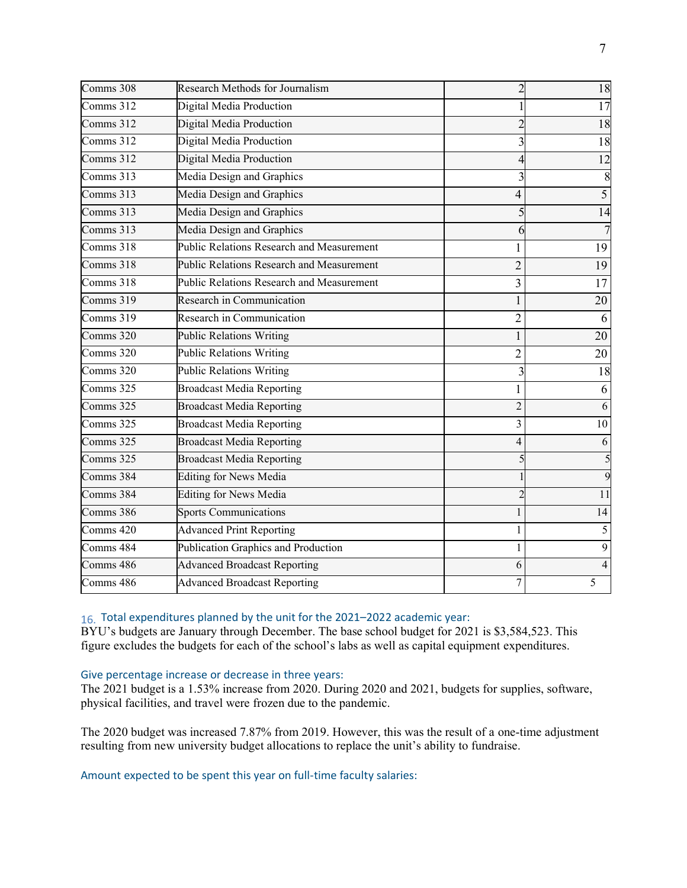| Comms 308   | <b>Research Methods for Journalism</b>           |                | 18             |
|-------------|--------------------------------------------------|----------------|----------------|
| Comms 312   | Digital Media Production                         |                | 17             |
| Comms 312   | Digital Media Production                         |                | 18             |
| Comms 312   | Digital Media Production                         |                | 18             |
| Comms 312   | Digital Media Production                         |                | 12             |
| Comms 313   | Media Design and Graphics                        | 3              | 8              |
| Comms 313   | Media Design and Graphics                        | 4              | $\overline{5}$ |
| Comms $313$ | Media Design and Graphics                        |                | 14             |
| Comms 313   | Media Design and Graphics                        | 6              |                |
| Comms $318$ | <b>Public Relations Research and Measurement</b> |                | 19             |
| Comms 318   | <b>Public Relations Research and Measurement</b> | $\overline{2}$ | 19             |
| Comms 318   | <b>Public Relations Research and Measurement</b> | 3              | 17             |
| Comms 319   | Research in Communication                        |                | 20             |
| Comms 319   | Research in Communication                        | $\overline{2}$ | 6              |
| Comms 320   | <b>Public Relations Writing</b>                  | 1              | 20             |
| Comms 320   | <b>Public Relations Writing</b>                  | $\overline{2}$ | 20             |
| Comms 320   | <b>Public Relations Writing</b>                  | 3              | 18             |
| Comms 325   | <b>Broadcast Media Reporting</b>                 | 1              | 6              |
| Comms 325   | <b>Broadcast Media Reporting</b>                 | $\overline{2}$ | 6              |
| Comms 325   | <b>Broadcast Media Reporting</b>                 | 3              | 10             |
| Comms 325   | <b>Broadcast Media Reporting</b>                 | 4              | 6              |
| Comms 325   | <b>Broadcast Media Reporting</b>                 |                | 5              |
| Comms 384   | <b>Editing for News Media</b>                    |                | 9              |
| Comms 384   | <b>Editing for News Media</b>                    | $\overline{c}$ | 11             |
| Comms 386   | <b>Sports Communications</b>                     |                | 14             |
| Comms 420   | <b>Advanced Print Reporting</b>                  |                | 5              |
| Comms 484   | Publication Graphics and Production              |                | 9              |
| Comms 486   | <b>Advanced Broadcast Reporting</b>              | 6              | 4              |
| Comms 486   | <b>Advanced Broadcast Reporting</b>              | 7              | 5              |

16. Total expenditures planned by the unit for the 2021–2022 academic year:

BYU's budgets are January through December. The base school budget for 2021 is \$3,584,523. This figure excludes the budgets for each of the school's labs as well as capital equipment expenditures.

#### Give percentage increase or decrease in three years:

The 2021 budget is a 1.53% increase from 2020. During 2020 and 2021, budgets for supplies, software, physical facilities, and travel were frozen due to the pandemic.

The 2020 budget was increased 7.87% from 2019. However, this was the result of a one-time adjustment resulting from new university budget allocations to replace the unit's ability to fundraise.

Amount expected to be spent this year on full-time faculty salaries: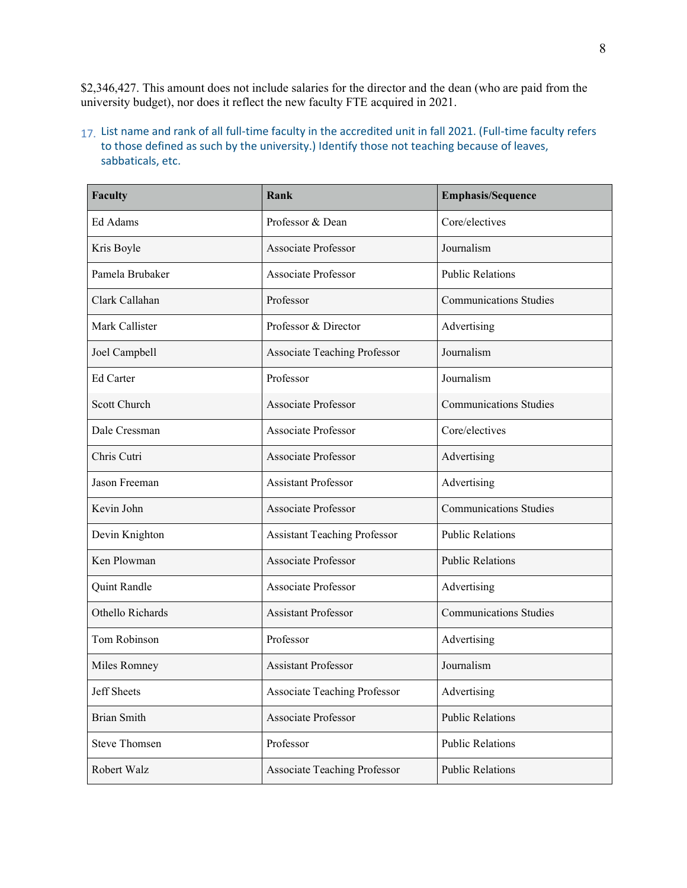\$2,346,427. This amount does not include salaries for the director and the dean (who are paid from the university budget), nor does it reflect the new faculty FTE acquired in 2021.

#### 17. List name and rank of all full-time faculty in the accredited unit in fall 2021. (Full-time faculty refers to those defined as such by the university.) Identify those not teaching because of leaves, sabbaticals, etc.

| <b>Faculty</b>       | Rank                                | <b>Emphasis/Sequence</b>      |
|----------------------|-------------------------------------|-------------------------------|
| Ed Adams             | Professor & Dean                    | Core/electives                |
| Kris Boyle           | <b>Associate Professor</b>          | Journalism                    |
| Pamela Brubaker      | <b>Associate Professor</b>          | <b>Public Relations</b>       |
| Clark Callahan       | Professor                           | <b>Communications Studies</b> |
| Mark Callister       | Professor & Director                | Advertising                   |
| Joel Campbell        | <b>Associate Teaching Professor</b> | Journalism                    |
| Ed Carter            | Professor                           | Journalism                    |
| Scott Church         | <b>Associate Professor</b>          | <b>Communications Studies</b> |
| Dale Cressman        | <b>Associate Professor</b>          | Core/electives                |
| Chris Cutri          | <b>Associate Professor</b>          | Advertising                   |
| Jason Freeman        | <b>Assistant Professor</b>          | Advertising                   |
| Kevin John           | <b>Associate Professor</b>          | <b>Communications Studies</b> |
| Devin Knighton       | <b>Assistant Teaching Professor</b> | <b>Public Relations</b>       |
| Ken Plowman          | <b>Associate Professor</b>          | <b>Public Relations</b>       |
| Quint Randle         | <b>Associate Professor</b>          | Advertising                   |
| Othello Richards     | <b>Assistant Professor</b>          | <b>Communications Studies</b> |
| Tom Robinson         | Professor                           | Advertising                   |
| Miles Romney         | <b>Assistant Professor</b>          | Journalism                    |
| Jeff Sheets          | <b>Associate Teaching Professor</b> | Advertising                   |
| <b>Brian Smith</b>   | Associate Professor                 | <b>Public Relations</b>       |
| <b>Steve Thomsen</b> | Professor                           | <b>Public Relations</b>       |
| Robert Walz          | <b>Associate Teaching Professor</b> | <b>Public Relations</b>       |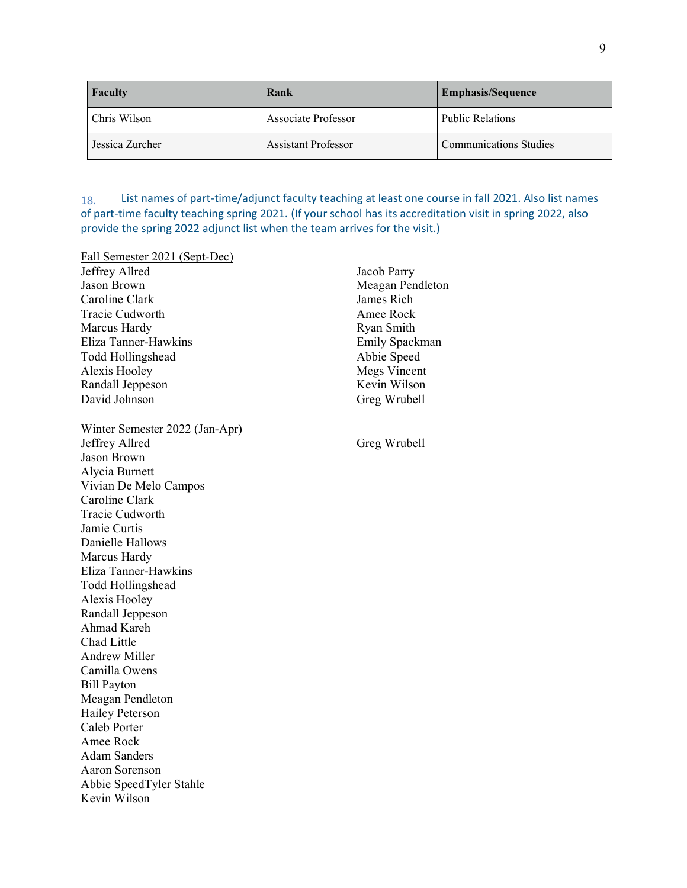| Faculty         | Rank                       | <b>Emphasis/Sequence</b>      |
|-----------------|----------------------------|-------------------------------|
| Chris Wilson    | Associate Professor        | <b>Public Relations</b>       |
| Jessica Zurcher | <b>Assistant Professor</b> | <b>Communications Studies</b> |

18. List names of part-time/adjunct faculty teaching at least one course in fall 2021. Also list names of part-time faculty teaching spring 2021. (If your school has its accreditation visit in spring 2022, also provide the spring 2022 adjunct list when the team arrives for the visit.)

| Fall Semester 2021 (Sept-Dec)  |                     |
|--------------------------------|---------------------|
| Jeffrey Allred                 | Jacob Parry         |
| Jason Brown                    | Meagan Pendleton    |
| Caroline Clark                 | James Rich          |
| <b>Tracie Cudworth</b>         | Amee Rock           |
| Marcus Hardy                   | Ryan Smith          |
| Eliza Tanner-Hawkins           | Emily Spackman      |
| <b>Todd Hollingshead</b>       | Abbie Speed         |
| Alexis Hooley                  | <b>Megs Vincent</b> |
| Randall Jeppeson               | Kevin Wilson        |
| David Johnson                  | Greg Wrubell        |
| Winter Semester 2022 (Jan-Apr) |                     |
| Jeffrey Allred                 | Greg Wrubell        |
| Jason Brown                    |                     |
| Alycia Burnett                 |                     |
| Vivian De Melo Campos          |                     |
| Caroline Clark                 |                     |
| <b>Tracie Cudworth</b>         |                     |
| Jamie Curtis                   |                     |
| Danielle Hallows               |                     |
| Marcus Hardy                   |                     |
| Eliza Tanner-Hawkins           |                     |
| <b>Todd Hollingshead</b>       |                     |
| Alexis Hooley                  |                     |
| Randall Jeppeson               |                     |
| Ahmad Kareh                    |                     |
| Chad Little                    |                     |
| <b>Andrew Miller</b>           |                     |
| Camilla Owens                  |                     |
| <b>Bill Payton</b>             |                     |
| Meagan Pendleton               |                     |
| <b>Hailey Peterson</b>         |                     |
| Caleb Porter                   |                     |
| Amee Rock                      |                     |
| <b>Adam Sanders</b>            |                     |
| <b>Aaron Sorenson</b>          |                     |
| Abbie SpeedTyler Stahle        |                     |
| Kevin Wilson                   |                     |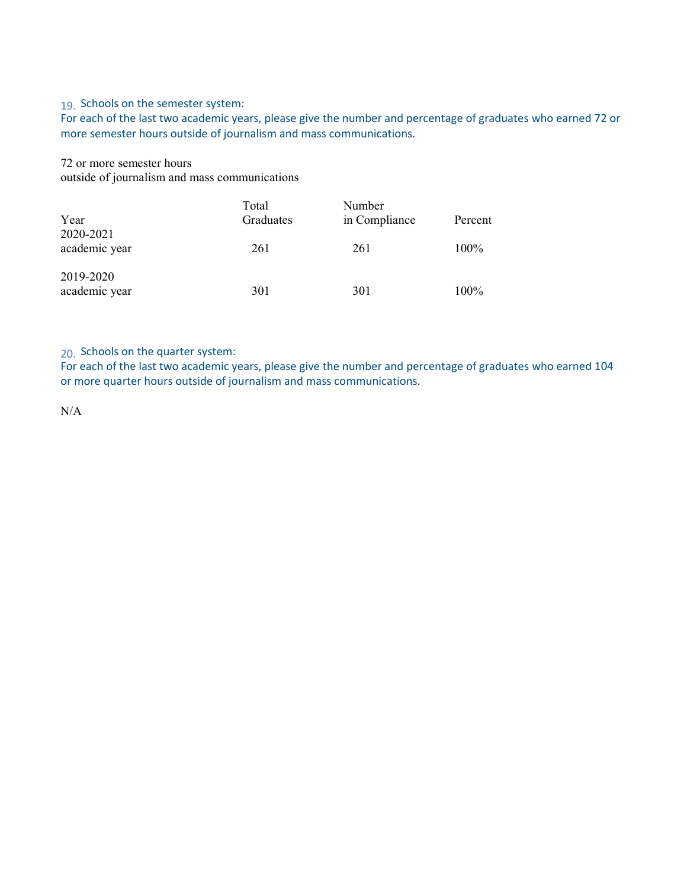#### 19. Schools on the semester system:

For each of the last two academic years, please give the number and percentage of graduates who earned 72 or more semester hours outside of journalism and mass communications.

72 or more semester hours outside of journalism and mass communications

|                            | Total     | Number        |         |
|----------------------------|-----------|---------------|---------|
| Year<br>2020-2021          | Graduates | in Compliance | Percent |
| academic year              | 261       | 261           | 100%    |
| 2019-2020<br>academic year | 301       | 301           | 100%    |

20. Schools on the quarter system:

For each of the last two academic years, please give the number and percentage of graduates who earned 104 or more quarter hours outside of journalism and mass communications.

N/A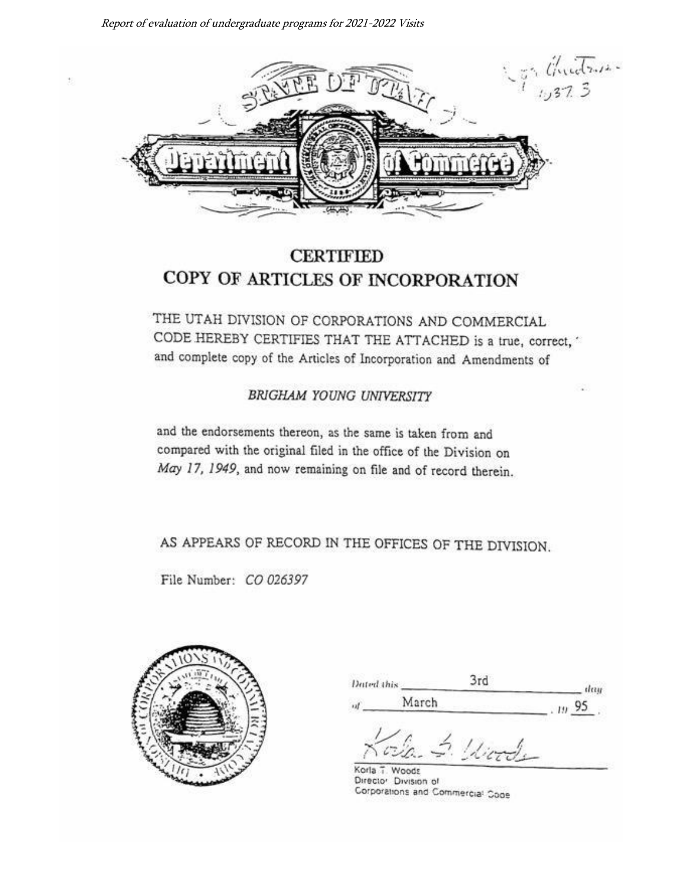

# **CERTIFIED** COPY OF ARTICLES OF INCORPORATION

THE UTAH DIVISION OF CORPORATIONS AND COMMERCIAL CODE HEREBY CERTIFIES THAT THE ATTACHED is a true, correct," and complete copy of the Articles of Incorporation and Amendments of

**BRIGHAM YOUNG UNIVERSITY** 

and the endorsements thereon, as the same is taken from and compared with the original filed in the office of the Division on May 17, 1949, and now remaining on file and of record therein.

AS APPEARS OF RECORD IN THE OFFICES OF THE DIVISION.

File Number: CO 026397



| Dated this | -ru-  |   |
|------------|-------|---|
| n          | March |   |
|            |       | Ш |

Korla T. Woods Director Division of Corporations and Commercial Code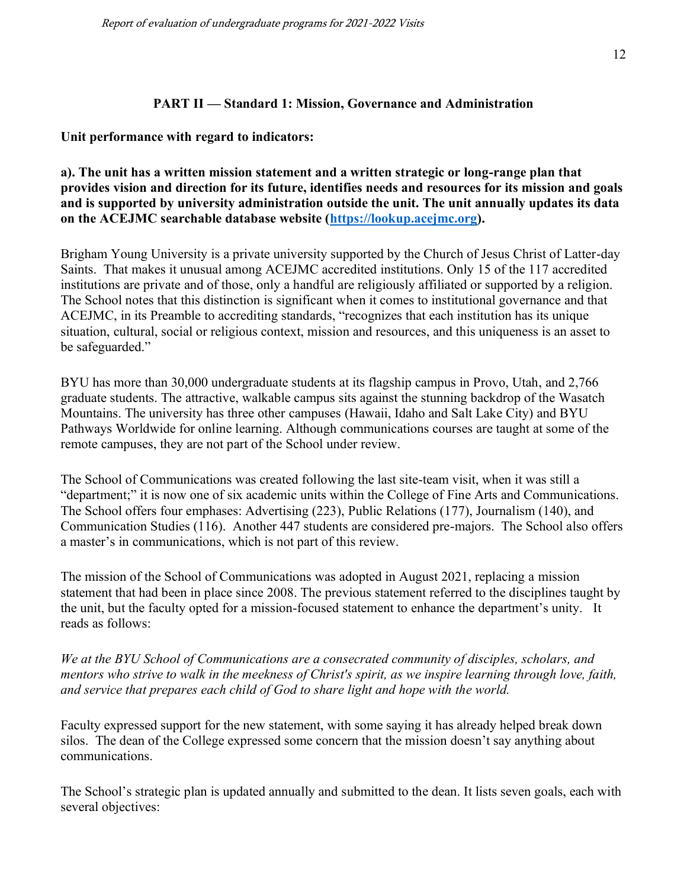#### **PART II — Standard 1: Mission, Governance and Administration**

#### **Unit performance with regard to indicators:**

#### **a). The unit has a written mission statement and a written strategic or long-range plan that provides vision and direction for its future, identifies needs and resources for its mission and goals and is supported by university administration outside the unit. The unit annually updates its data on the ACEJMC searchable database website [\(https://lookup.acejmc.org\)](https://lookup.acejmc.org/).**

Brigham Young University is a private university supported by the Church of Jesus Christ of Latter-day Saints. That makes it unusual among ACEJMC accredited institutions. Only 15 of the 117 accredited institutions are private and of those, only a handful are religiously affiliated or supported by a religion. The School notes that this distinction is significant when it comes to institutional governance and that ACEJMC, in its Preamble to accrediting standards, "recognizes that each institution has its unique situation, cultural, social or religious context, mission and resources, and this uniqueness is an asset to be safeguarded."

BYU has more than 30,000 undergraduate students at its flagship campus in Provo, Utah, and 2,766 graduate students. The attractive, walkable campus sits against the stunning backdrop of the Wasatch Mountains. The university has three other campuses (Hawaii, Idaho and Salt Lake City) and BYU Pathways Worldwide for online learning. Although communications courses are taught at some of the remote campuses, they are not part of the School under review.

The School of Communications was created following the last site-team visit, when it was still a "department;" it is now one of six academic units within the College of Fine Arts and Communications. The School offers four emphases: Advertising (223), Public Relations (177), Journalism (140), and Communication Studies (116). Another 447 students are considered pre-majors. The School also offers a master's in communications, which is not part of this review.

The mission of the School of Communications was adopted in August 2021, replacing a mission statement that had been in place since 2008. The previous statement referred to the disciplines taught by the unit, but the faculty opted for a mission-focused statement to enhance the department's unity. It reads as follows:

*We at the BYU School of Communications are a consecrated community of disciples, scholars, and mentors who strive to walk in the meekness of Christ's spirit, as we inspire learning through love, faith, and service that prepares each child of God to share light and hope with the world.*

Faculty expressed support for the new statement, with some saying it has already helped break down silos. The dean of the College expressed some concern that the mission doesn't say anything about communications.

The School's strategic plan is updated annually and submitted to the dean. It lists seven goals, each with several objectives: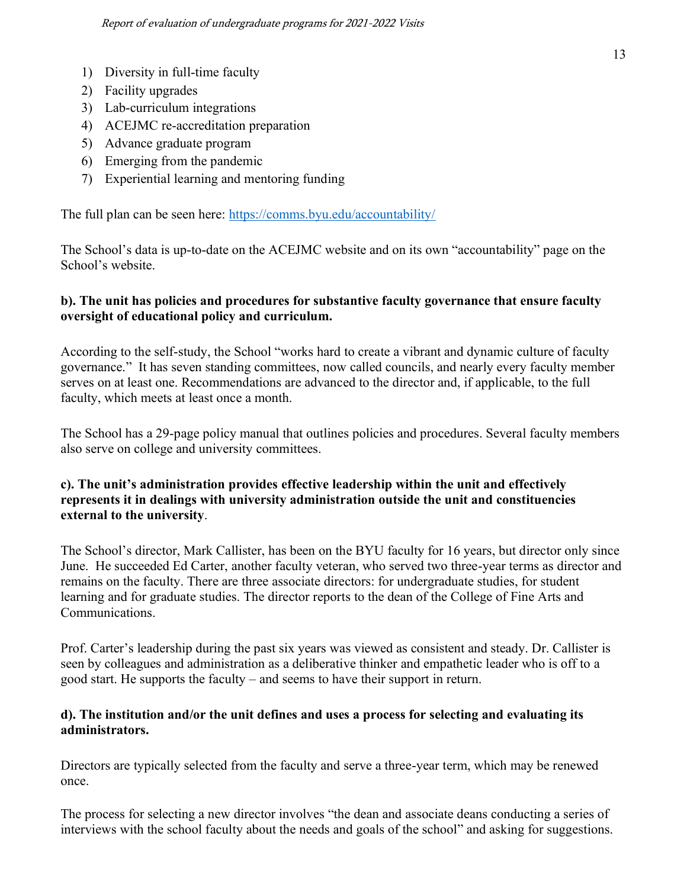- 1) Diversity in full-time faculty
- 2) Facility upgrades
- 3) Lab-curriculum integrations
- 4) ACEJMC re-accreditation preparation
- 5) Advance graduate program
- 6) Emerging from the pandemic
- 7) Experiential learning and mentoring funding

The full plan can be seen here:<https://comms.byu.edu/accountability/>

The School's data is up-to-date on the ACEJMC website and on its own "accountability" page on the School's website.

## **b). The unit has policies and procedures for substantive faculty governance that ensure faculty oversight of educational policy and curriculum.**

According to the self-study, the School "works hard to create a vibrant and dynamic culture of faculty governance." It has seven standing committees, now called councils, and nearly every faculty member serves on at least one. Recommendations are advanced to the director and, if applicable, to the full faculty, which meets at least once a month.

The School has a 29-page policy manual that outlines policies and procedures. Several faculty members also serve on college and university committees.

## **c). The unit's administration provides effective leadership within the unit and effectively represents it in dealings with university administration outside the unit and constituencies external to the university**.

The School's director, Mark Callister, has been on the BYU faculty for 16 years, but director only since June. He succeeded Ed Carter, another faculty veteran, who served two three-year terms as director and remains on the faculty. There are three associate directors: for undergraduate studies, for student learning and for graduate studies. The director reports to the dean of the College of Fine Arts and Communications.

Prof. Carter's leadership during the past six years was viewed as consistent and steady. Dr. Callister is seen by colleagues and administration as a deliberative thinker and empathetic leader who is off to a good start. He supports the faculty – and seems to have their support in return.

## **d). The institution and/or the unit defines and uses a process for selecting and evaluating its administrators.**

Directors are typically selected from the faculty and serve a three-year term, which may be renewed once.

The process for selecting a new director involves "the dean and associate deans conducting a series of interviews with the school faculty about the needs and goals of the school" and asking for suggestions.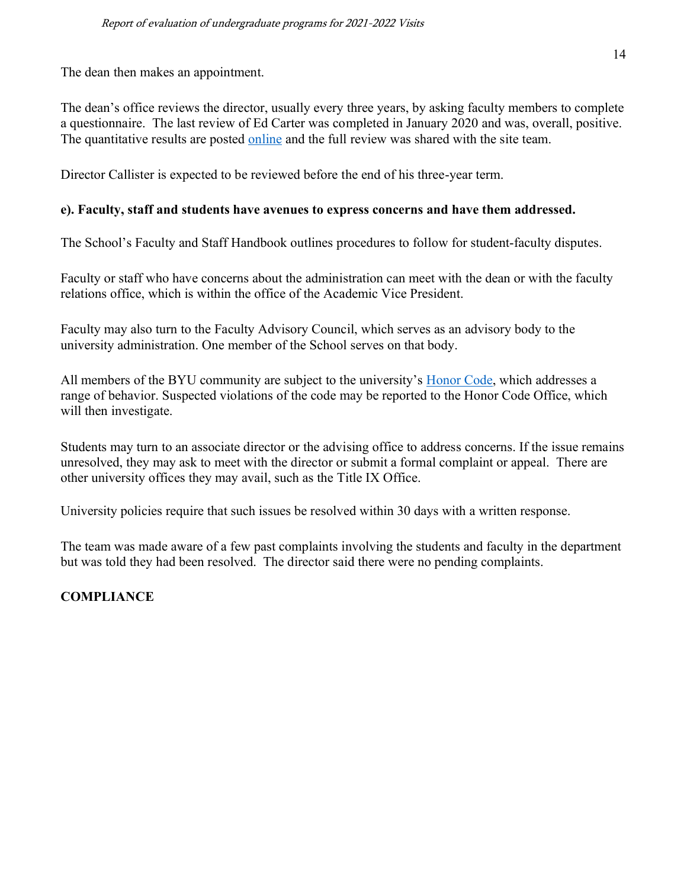The dean then makes an appointment.

The dean's office reviews the director, usually every three years, by asking faculty members to complete a questionnaire. The last review of Ed Carter was completed in January 2020 and was, overall, positive. The quantitative results are posted [online](https://comms.byu.edu/wp-content/uploads/2020/02/school_leadership_survey_jan2020_revfeb2020.pdf) and the full review was shared with the site team.

Director Callister is expected to be reviewed before the end of his three-year term.

#### **e). Faculty, staff and students have avenues to express concerns and have them addressed.**

The School's Faculty and Staff Handbook outlines procedures to follow for student-faculty disputes.

Faculty or staff who have concerns about the administration can meet with the dean or with the faculty relations office, which is within the office of the Academic Vice President.

Faculty may also turn to the Faculty Advisory Council, which serves as an advisory body to the university administration. One member of the School serves on that body.

All members of the BYU community are subject to the university's [Honor Code,](https://policy.byu.edu/view/church-educational-system-honor-code) which addresses a range of behavior. Suspected violations of the code may be reported to the Honor Code Office, which will then investigate.

Students may turn to an associate director or the advising office to address concerns. If the issue remains unresolved, they may ask to meet with the director or submit a formal complaint or appeal. There are other university offices they may avail, such as the Title IX Office.

University policies require that such issues be resolved within 30 days with a written response.

The team was made aware of a few past complaints involving the students and faculty in the department but was told they had been resolved. The director said there were no pending complaints.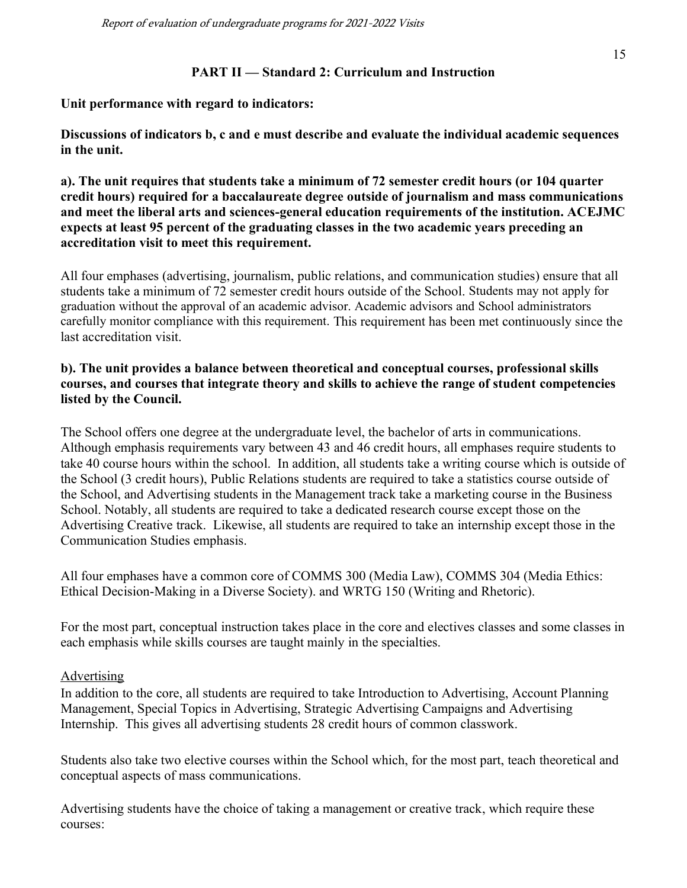#### **PART II — Standard 2: Curriculum and Instruction**

**Unit performance with regard to indicators:**

**Discussions of indicators b, c and e must describe and evaluate the individual academic sequences in the unit.**

**a). The unit requires that students take a minimum of 72 semester credit hours (or 104 quarter credit hours) required for a baccalaureate degree outside of journalism and mass communications and meet the liberal arts and sciences-general education requirements of the institution. ACEJMC expects at least 95 percent of the graduating classes in the two academic years preceding an accreditation visit to meet this requirement.**

All four emphases (advertising, journalism, public relations, and communication studies) ensure that all students take a minimum of 72 semester credit hours outside of the School. Students may not apply for graduation without the approval of an academic advisor. Academic advisors and School administrators carefully monitor compliance with this requirement. This requirement has been met continuously since the last accreditation visit.

## **b). The unit provides a balance between theoretical and conceptual courses, professional skills courses, and courses that integrate theory and skills to achieve the range of student competencies listed by the Council.**

The School offers one degree at the undergraduate level, the bachelor of arts in communications. Although emphasis requirements vary between 43 and 46 credit hours, all emphases require students to take 40 course hours within the school. In addition, all students take a writing course which is outside of the School (3 credit hours), Public Relations students are required to take a statistics course outside of the School, and Advertising students in the Management track take a marketing course in the Business School. Notably, all students are required to take a dedicated research course except those on the Advertising Creative track. Likewise, all students are required to take an internship except those in the Communication Studies emphasis.

All four emphases have a common core of COMMS 300 (Media Law), COMMS 304 (Media Ethics: Ethical Decision-Making in a Diverse Society). and WRTG 150 (Writing and Rhetoric).

For the most part, conceptual instruction takes place in the core and electives classes and some classes in each emphasis while skills courses are taught mainly in the specialties.

## Advertising

In addition to the core, all students are required to take Introduction to Advertising, Account Planning Management, Special Topics in Advertising, Strategic Advertising Campaigns and Advertising Internship. This gives all advertising students 28 credit hours of common classwork.

Students also take two elective courses within the School which, for the most part, teach theoretical and conceptual aspects of mass communications.

Advertising students have the choice of taking a management or creative track, which require these courses: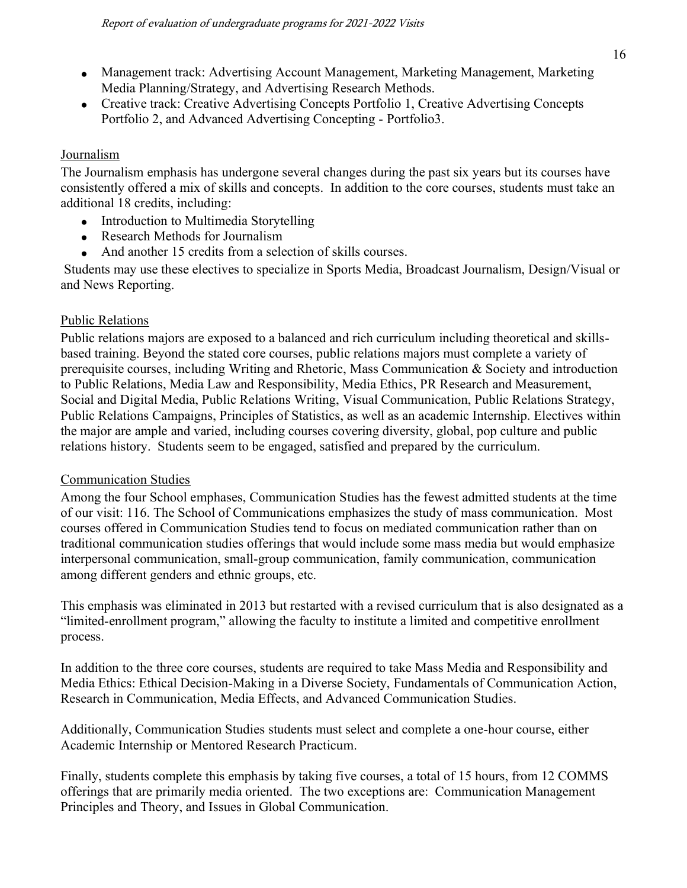- Management track: Advertising Account Management, Marketing Management, Marketing Media Planning/Strategy, and Advertising Research Methods.
- Creative track: Creative Advertising Concepts Portfolio 1, Creative Advertising Concepts Portfolio 2, and Advanced Advertising Concepting - Portfolio3.

# Journalism

The Journalism emphasis has undergone several changes during the past six years but its courses have consistently offered a mix of skills and concepts. In addition to the core courses, students must take an additional 18 credits, including:

- Introduction to Multimedia Storytelling
- Research Methods for Journalism
- And another 15 credits from a selection of skills courses.

Students may use these electives to specialize in Sports Media, Broadcast Journalism, Design/Visual or and News Reporting.

# Public Relations

Public relations majors are exposed to a balanced and rich curriculum including theoretical and skillsbased training. Beyond the stated core courses, public relations majors must complete a variety of prerequisite courses, including Writing and Rhetoric, Mass Communication & Society and introduction to Public Relations, Media Law and Responsibility, Media Ethics, PR Research and Measurement, Social and Digital Media, Public Relations Writing, Visual Communication, Public Relations Strategy, Public Relations Campaigns, Principles of Statistics, as well as an academic Internship. Electives within the major are ample and varied, including courses covering diversity, global, pop culture and public relations history. Students seem to be engaged, satisfied and prepared by the curriculum.

# Communication Studies

Among the four School emphases, Communication Studies has the fewest admitted students at the time of our visit: 116. The School of Communications emphasizes the study of mass communication. Most courses offered in Communication Studies tend to focus on mediated communication rather than on traditional communication studies offerings that would include some mass media but would emphasize interpersonal communication, small-group communication, family communication, communication among different genders and ethnic groups, etc.

This emphasis was eliminated in 2013 but restarted with a revised curriculum that is also designated as a "limited-enrollment program," allowing the faculty to institute a limited and competitive enrollment process.

In addition to the three core courses, students are required to take Mass Media and Responsibility and Media Ethics: Ethical Decision-Making in a Diverse Society, Fundamentals of Communication Action, Research in Communication, Media Effects, and Advanced Communication Studies.

Additionally, Communication Studies students must select and complete a one-hour course, either Academic Internship or Mentored Research Practicum.

Finally, students complete this emphasis by taking five courses, a total of 15 hours, from 12 COMMS offerings that are primarily media oriented. The two exceptions are: Communication Management Principles and Theory, and Issues in Global Communication.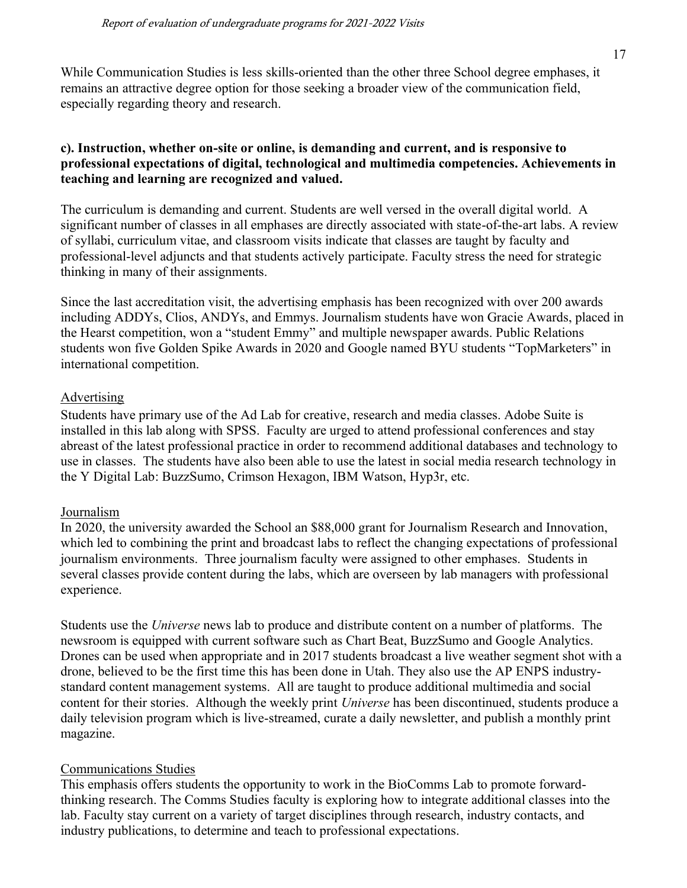While Communication Studies is less skills-oriented than the other three School degree emphases, it remains an attractive degree option for those seeking a broader view of the communication field, especially regarding theory and research.

#### **c). Instruction, whether on-site or online, is demanding and current, and is responsive to professional expectations of digital, technological and multimedia competencies. Achievements in teaching and learning are recognized and valued.**

The curriculum is demanding and current. Students are well versed in the overall digital world. A significant number of classes in all emphases are directly associated with state-of-the-art labs. A review of syllabi, curriculum vitae, and classroom visits indicate that classes are taught by faculty and professional-level adjuncts and that students actively participate. Faculty stress the need for strategic thinking in many of their assignments.

Since the last accreditation visit, the advertising emphasis has been recognized with over 200 awards including ADDYs, Clios, ANDYs, and Emmys. Journalism students have won Gracie Awards, placed in the Hearst competition, won a "student Emmy" and multiple newspaper awards. Public Relations students won five Golden Spike Awards in 2020 and Google named BYU students "TopMarketers" in international competition.

#### Advertising

Students have primary use of the Ad Lab for creative, research and media classes. Adobe Suite is installed in this lab along with SPSS. Faculty are urged to attend professional conferences and stay abreast of the latest professional practice in order to recommend additional databases and technology to use in classes. The students have also been able to use the latest in social media research technology in the Y Digital Lab: BuzzSumo, Crimson Hexagon, IBM Watson, Hyp3r, etc.

#### Journalism

In 2020, the university awarded the School an \$88,000 grant for Journalism Research and Innovation, which led to combining the print and broadcast labs to reflect the changing expectations of professional journalism environments. Three journalism faculty were assigned to other emphases. Students in several classes provide content during the labs, which are overseen by lab managers with professional experience.

Students use the *Universe* news lab to produce and distribute content on a number of platforms. The newsroom is equipped with current software such as Chart Beat, BuzzSumo and Google Analytics. Drones can be used when appropriate and in 2017 students broadcast a live weather segment shot with a drone, believed to be the first time this has been done in Utah. They also use the AP ENPS industrystandard content management systems. All are taught to produce additional multimedia and social content for their stories. Although the weekly print *Universe* has been discontinued, students produce a daily television program which is live-streamed, curate a daily newsletter, and publish a monthly print magazine.

#### Communications Studies

This emphasis offers students the opportunity to work in the BioComms Lab to promote forwardthinking research. The Comms Studies faculty is exploring how to integrate additional classes into the lab. Faculty stay current on a variety of target disciplines through research, industry contacts, and industry publications, to determine and teach to professional expectations.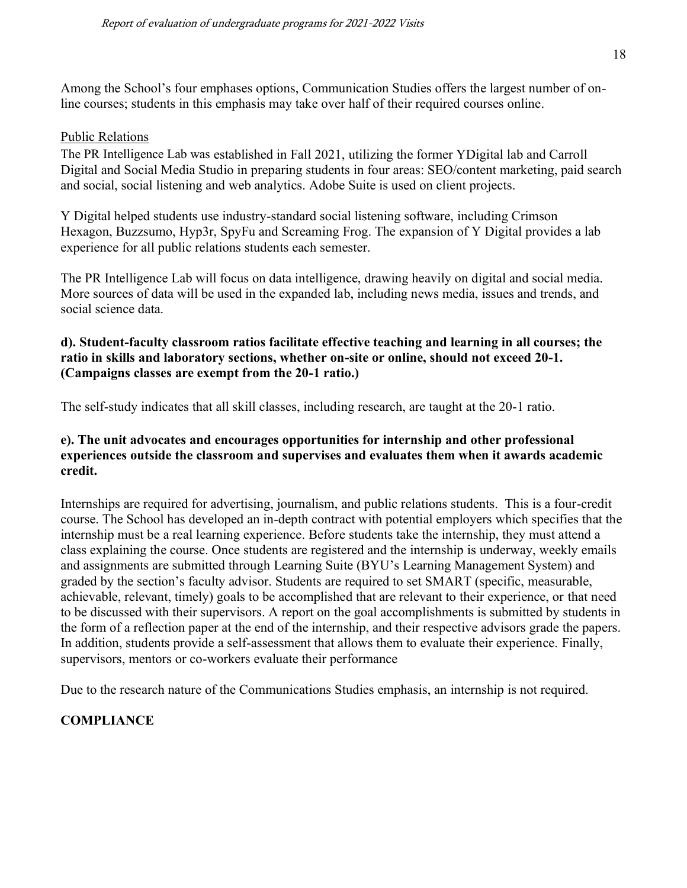Among the School's four emphases options, Communication Studies offers the largest number of online courses; students in this emphasis may take over half of their required courses online.

#### Public Relations

The PR Intelligence Lab was established in Fall 2021, utilizing the former YDigital lab and Carroll Digital and Social Media Studio in preparing students in four areas: SEO/content marketing, paid search and social, social listening and web analytics. Adobe Suite is used on client projects.

Y Digital helped students use industry-standard social listening software, including Crimson Hexagon, Buzzsumo, Hyp3r, SpyFu and Screaming Frog. The expansion of Y Digital provides a lab experience for all public relations students each semester.

The PR Intelligence Lab will focus on data intelligence, drawing heavily on digital and social media. More sources of data will be used in the expanded lab, including news media, issues and trends, and social science data.

## **d). Student-faculty classroom ratios facilitate effective teaching and learning in all courses; the ratio in skills and laboratory sections, whether on-site or online, should not exceed 20-1. (Campaigns classes are exempt from the 20-1 ratio.)**

The self-study indicates that all skill classes, including research, are taught at the 20-1 ratio.

#### **e). The unit advocates and encourages opportunities for internship and other professional experiences outside the classroom and supervises and evaluates them when it awards academic credit.**

Internships are required for advertising, journalism, and public relations students. This is a four-credit course. The School has developed an in-depth contract with potential employers which specifies that the internship must be a real learning experience. Before students take the internship, they must attend a class explaining the course. Once students are registered and the internship is underway, weekly emails and assignments are submitted through Learning Suite (BYU's Learning Management System) and graded by the section's faculty advisor. Students are required to set SMART (specific, measurable, achievable, relevant, timely) goals to be accomplished that are relevant to their experience, or that need to be discussed with their supervisors. A report on the goal accomplishments is submitted by students in the form of a reflection paper at the end of the internship, and their respective advisors grade the papers. In addition, students provide a self-assessment that allows them to evaluate their experience. Finally, supervisors, mentors or co-workers evaluate their performance

Due to the research nature of the Communications Studies emphasis, an internship is not required.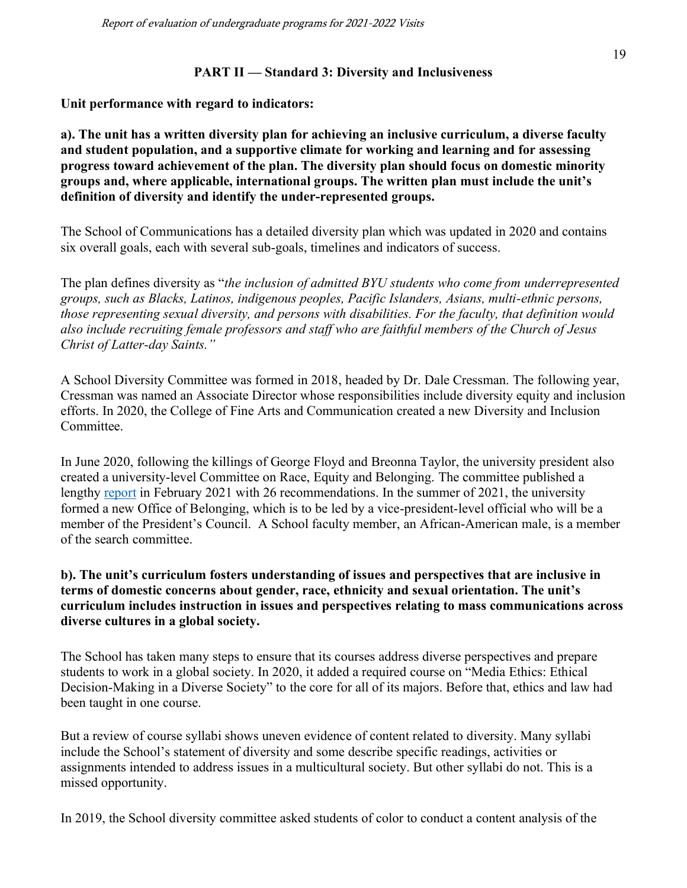#### **PART II — Standard 3: Diversity and Inclusiveness**

**Unit performance with regard to indicators:**

**a). The unit has a written diversity plan for achieving an inclusive curriculum, a diverse faculty and student population, and a supportive climate for working and learning and for assessing progress toward achievement of the plan. The diversity plan should focus on domestic minority groups and, where applicable, international groups. The written plan must include the unit's definition of diversity and identify the under-represented groups.**

The School of Communications has a detailed diversity plan which was updated in 2020 and contains six overall goals, each with several sub-goals, timelines and indicators of success.

The plan defines diversity as "*the inclusion of admitted BYU students who come from underrepresented groups, such as Blacks, Latinos, indigenous peoples, Pacific Islanders, Asians, multi-ethnic persons, those representing sexual diversity, and persons with disabilities. For the faculty, that definition would also include recruiting female professors and staff who are faithful members of the Church of Jesus Christ of Latter-day Saints."*

A School Diversity Committee was formed in 2018, headed by Dr. Dale Cressman. The following year, Cressman was named an Associate Director whose responsibilities include diversity equity and inclusion efforts. In 2020, the College of Fine Arts and Communication created a new Diversity and Inclusion Committee.

In June 2020, following the killings of George Floyd and Breonna Taylor, the university president also created a university-level Committee on Race, Equity and Belonging. The committee published a lengthy [report](https://brightspotcdn.byu.edu/12/58/d61b3164487da5946d13471e7567/byu-race-equity-belonging-report-feb21.pdf) in February 2021 with 26 recommendations. In the summer of 2021, the university formed a new Office of Belonging, which is to be led by a vice-president-level official who will be a member of the President's Council. A School faculty member, an African-American male, is a member of the search committee.

#### **b). The unit's curriculum fosters understanding of issues and perspectives that are inclusive in terms of domestic concerns about gender, race, ethnicity and sexual orientation. The unit's curriculum includes instruction in issues and perspectives relating to mass communications across diverse cultures in a global society.**

The School has taken many steps to ensure that its courses address diverse perspectives and prepare students to work in a global society. In 2020, it added a required course on "Media Ethics: Ethical Decision-Making in a Diverse Society" to the core for all of its majors. Before that, ethics and law had been taught in one course.

But a review of course syllabi shows uneven evidence of content related to diversity. Many syllabi include the School's statement of diversity and some describe specific readings, activities or assignments intended to address issues in a multicultural society. But other syllabi do not. This is a missed opportunity.

In 2019, the School diversity committee asked students of color to conduct a content analysis of the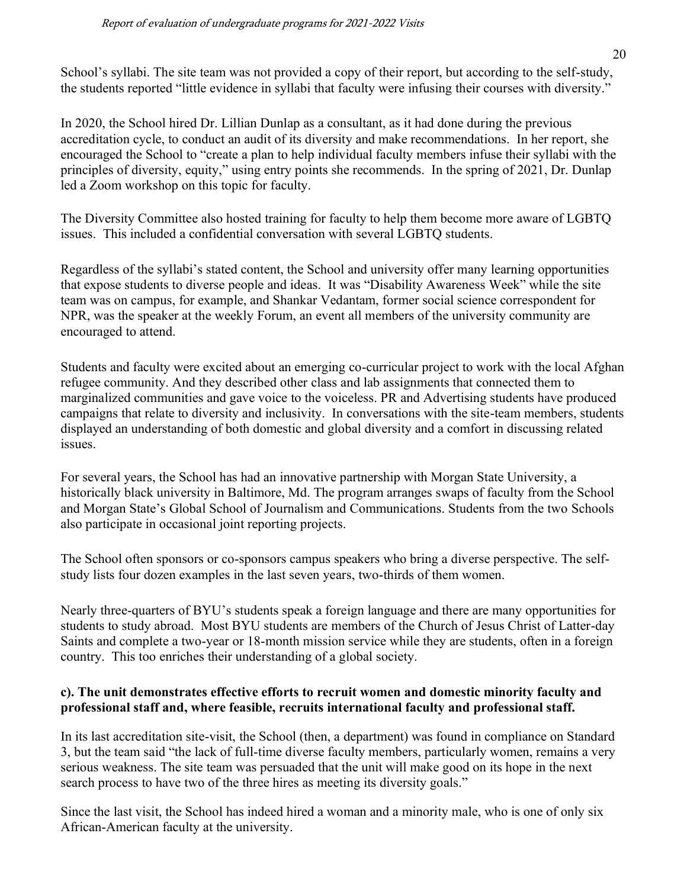School's syllabi. The site team was not provided a copy of their report, but according to the self-study, the students reported "little evidence in syllabi that faculty were infusing their courses with diversity."

In 2020, the School hired Dr. Lillian Dunlap as a consultant, as it had done during the previous accreditation cycle, to conduct an audit of its diversity and make recommendations. In her report, she encouraged the School to "create a plan to help individual faculty members infuse their syllabi with the principles of diversity, equity," using entry points she recommends. In the spring of 2021, Dr. Dunlap led a Zoom workshop on this topic for faculty.

The Diversity Committee also hosted training for faculty to help them become more aware of LGBTQ issues. This included a confidential conversation with several LGBTQ students.

Regardless of the syllabi's stated content, the School and university offer many learning opportunities that expose students to diverse people and ideas. It was "Disability Awareness Week" while the site team was on campus, for example, and Shankar Vedantam, former social science correspondent for NPR, was the speaker at the weekly Forum, an event all members of the university community are encouraged to attend.

Students and faculty were excited about an emerging co-curricular project to work with the local Afghan refugee community. And they described other class and lab assignments that connected them to marginalized communities and gave voice to the voiceless. PR and Advertising students have produced campaigns that relate to diversity and inclusivity. In conversations with the site-team members, students displayed an understanding of both domestic and global diversity and a comfort in discussing related issues.

For several years, the School has had an innovative partnership with Morgan State University, a historically black university in Baltimore, Md. The program arranges swaps of faculty from the School and Morgan State's Global School of Journalism and Communications. Students from the two Schools also participate in occasional joint reporting projects.

The School often sponsors or co-sponsors campus speakers who bring a diverse perspective. The selfstudy lists four dozen examples in the last seven years, two-thirds of them women.

Nearly three-quarters of BYU's students speak a foreign language and there are many opportunities for students to study abroad. Most BYU students are members of the Church of Jesus Christ of Latter-day Saints and complete a two-year or 18-month mission service while they are students, often in a foreign country. This too enriches their understanding of a global society.

## **c). The unit demonstrates effective efforts to recruit women and domestic minority faculty and professional staff and, where feasible, recruits international faculty and professional staff.**

In its last accreditation site-visit, the School (then, a department) was found in compliance on Standard 3, but the team said "the lack of full-time diverse faculty members, particularly women, remains a very serious weakness. The site team was persuaded that the unit will make good on its hope in the next search process to have two of the three hires as meeting its diversity goals."

Since the last visit, the School has indeed hired a woman and a minority male, who is one of only six African-American faculty at the university.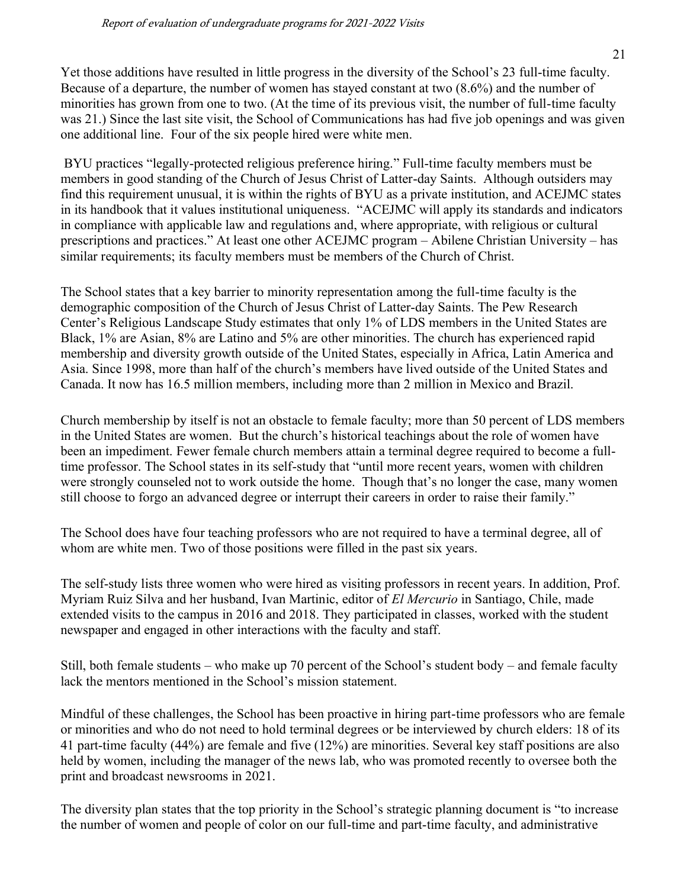21

Yet those additions have resulted in little progress in the diversity of the School's 23 full-time faculty. Because of a departure, the number of women has stayed constant at two (8.6%) and the number of minorities has grown from one to two. (At the time of its previous visit, the number of full-time faculty was 21.) Since the last site visit, the School of Communications has had five job openings and was given one additional line. Four of the six people hired were white men.

BYU practices "legally-protected religious preference hiring." Full-time faculty members must be members in good standing of the Church of Jesus Christ of Latter-day Saints. Although outsiders may find this requirement unusual, it is within the rights of BYU as a private institution, and ACEJMC states in its handbook that it values institutional uniqueness. "ACEJMC will apply its standards and indicators in compliance with applicable law and regulations and, where appropriate, with religious or cultural prescriptions and practices." At least one other ACEJMC program – Abilene Christian University – has similar requirements; its faculty members must be members of the Church of Christ.

The School states that a key barrier to minority representation among the full-time faculty is the demographic composition of the Church of Jesus Christ of Latter-day Saints. The Pew Research Center's Religious Landscape Study estimates that only 1% of LDS members in the United States are Black, 1% are Asian, 8% are Latino and 5% are other minorities. The church has experienced rapid membership and diversity growth outside of the United States, especially in Africa, Latin America and Asia. Since 1998, more than half of the church's members have lived outside of the United States and Canada. It now has 16.5 million members, including more than 2 million in Mexico and Brazil.

Church membership by itself is not an obstacle to female faculty; more than 50 percent of LDS members in the United States are women. But the church's historical teachings about the role of women have been an impediment. Fewer female church members attain a terminal degree required to become a fulltime professor. The School states in its self-study that "until more recent years, women with children were strongly counseled not to work outside the home. Though that's no longer the case, many women still choose to forgo an advanced degree or interrupt their careers in order to raise their family."

The School does have four teaching professors who are not required to have a terminal degree, all of whom are white men. Two of those positions were filled in the past six years.

The self-study lists three women who were hired as visiting professors in recent years. In addition, Prof. Myriam Ruiz Silva and her husband, Ivan Martinic, editor of *El Mercurio* in Santiago, Chile, made extended visits to the campus in 2016 and 2018. They participated in classes, worked with the student newspaper and engaged in other interactions with the faculty and staff.

Still, both female students – who make up 70 percent of the School's student body – and female faculty lack the mentors mentioned in the School's mission statement.

Mindful of these challenges, the School has been proactive in hiring part-time professors who are female or minorities and who do not need to hold terminal degrees or be interviewed by church elders: 18 of its 41 part-time faculty (44%) are female and five (12%) are minorities. Several key staff positions are also held by women, including the manager of the news lab, who was promoted recently to oversee both the print and broadcast newsrooms in 2021.

The diversity plan states that the top priority in the School's strategic planning document is "to increase the number of women and people of color on our full-time and part-time faculty, and administrative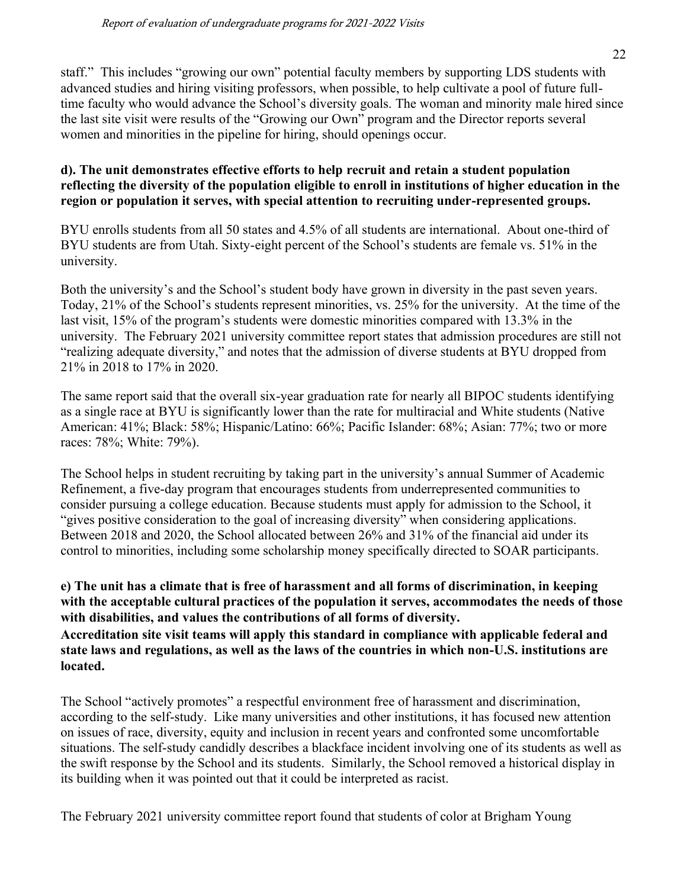staff." This includes "growing our own" potential faculty members by supporting LDS students with advanced studies and hiring visiting professors, when possible, to help cultivate a pool of future fulltime faculty who would advance the School's diversity goals. The woman and minority male hired since the last site visit were results of the "Growing our Own" program and the Director reports several women and minorities in the pipeline for hiring, should openings occur.

#### **d). The unit demonstrates effective efforts to help recruit and retain a student population reflecting the diversity of the population eligible to enroll in institutions of higher education in the region or population it serves, with special attention to recruiting under-represented groups.**

BYU enrolls students from all 50 states and 4.5% of all students are international. About one-third of BYU students are from Utah. Sixty-eight percent of the School's students are female vs. 51% in the university.

Both the university's and the School's student body have grown in diversity in the past seven years. Today, 21% of the School's students represent minorities, vs. 25% for the university. At the time of the last visit, 15% of the program's students were domestic minorities compared with 13.3% in the university. The February 2021 university committee report states that admission procedures are still not "realizing adequate diversity," and notes that the admission of diverse students at BYU dropped from 21% in 2018 to 17% in 2020.

The same report said that the overall six-year graduation rate for nearly all BIPOC students identifying as a single race at BYU is significantly lower than the rate for multiracial and White students (Native American: 41%; Black: 58%; Hispanic/Latino: 66%; Pacific Islander: 68%; Asian: 77%; two or more races: 78%; White: 79%).

The School helps in student recruiting by taking part in the university's annual Summer of Academic Refinement, a five-day program that encourages students from underrepresented communities to consider pursuing a college education. Because students must apply for admission to the School, it "gives positive consideration to the goal of increasing diversity" when considering applications. Between 2018 and 2020, the School allocated between 26% and 31% of the financial aid under its control to minorities, including some scholarship money specifically directed to SOAR participants.

# **e) The unit has a climate that is free of harassment and all forms of discrimination, in keeping with the acceptable cultural practices of the population it serves, accommodates the needs of those with disabilities, and values the contributions of all forms of diversity.**

**Accreditation site visit teams will apply this standard in compliance with applicable federal and state laws and regulations, as well as the laws of the countries in which non-U.S. institutions are located.**

The School "actively promotes" a respectful environment free of harassment and discrimination, according to the self-study. Like many universities and other institutions, it has focused new attention on issues of race, diversity, equity and inclusion in recent years and confronted some uncomfortable situations. The self-study candidly describes a blackface incident involving one of its students as well as the swift response by the School and its students. Similarly, the School removed a historical display in its building when it was pointed out that it could be interpreted as racist.

The February 2021 university committee report found that students of color at Brigham Young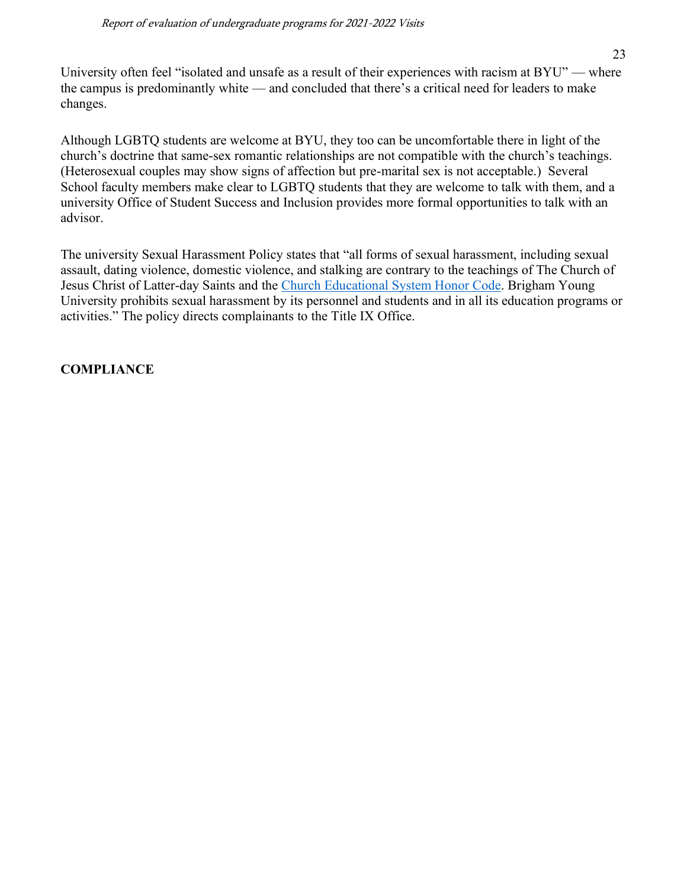University often feel "isolated and unsafe as a result of their experiences with racism at BYU" — where the campus is predominantly white — and concluded that there's a critical need for leaders to make changes.

Although LGBTQ students are welcome at BYU, they too can be uncomfortable there in light of the church's doctrine that same-sex romantic relationships are not compatible with the church's teachings. (Heterosexual couples may show signs of affection but pre-marital sex is not acceptable.) Several School faculty members make clear to LGBTQ students that they are welcome to talk with them, and a university Office of Student Success and Inclusion provides more formal opportunities to talk with an advisor.

The university Sexual Harassment Policy states that "all forms of sexual harassment, including sexual assault, dating violence, domestic violence, and stalking are contrary to the teachings of The Church of Jesus Christ of Latter-day Saints and the [Church Educational System Honor Code.](https://policy.byu.edu/view/index.php?p=26) Brigham Young University prohibits sexual harassment by its personnel and students and in all its education programs or activities." The policy directs complainants to the Title IX Office.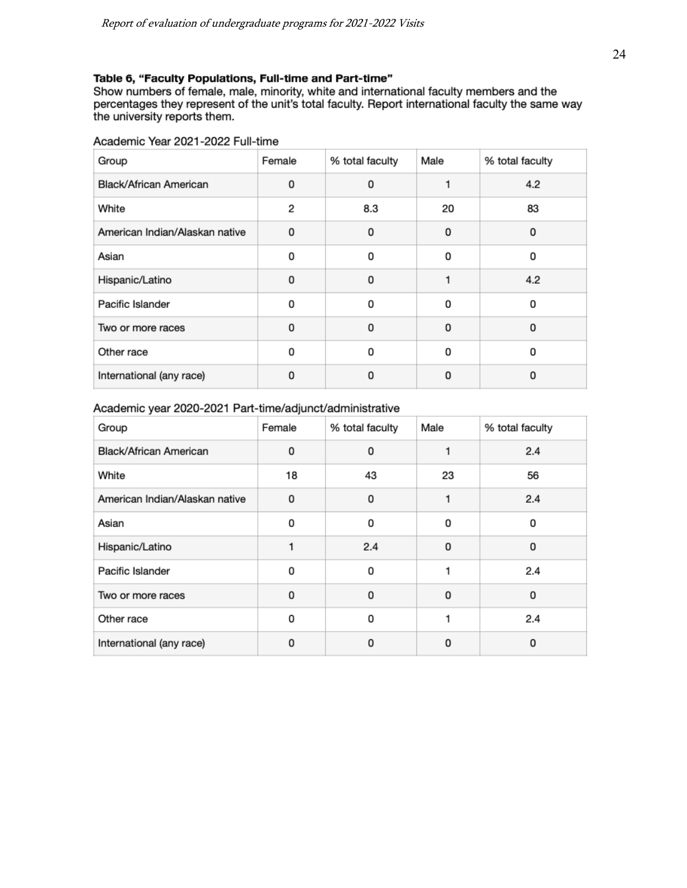#### Table 6, "Faculty Populations, Full-time and Part-time"

Show numbers of female, male, minority, white and international faculty members and the percentages they represent of the unit's total faculty. Report international faculty the same way the university reports them.

#### Academic Year 2021-2022 Full-time

| Group                          | Female | % total faculty | Male | % total faculty |
|--------------------------------|--------|-----------------|------|-----------------|
| Black/African American         | 0      | 0               |      | 4.2             |
| White                          | 2      | 8.3             | 20   | 83              |
| American Indian/Alaskan native | 0      | 0               | 0    | 0               |
| Asian                          | 0      | 0               | 0    | 0               |
| Hispanic/Latino                | 0      | 0               |      | 4.2             |
| Pacific Islander               | 0      | 0               | ŋ    | 0               |
| Two or more races              | 0      | 0               | 0    | 0               |
| Other race                     | 0      | 0               | 0    | 0               |
| International (any race)       | o      | O               | 0    | 0               |

#### Academic year 2020-2021 Part-time/adjunct/administrative

| Group                          | Female   | % total faculty | Male     | % total faculty |
|--------------------------------|----------|-----------------|----------|-----------------|
| Black/African American         | 0        | 0               |          | 2.4             |
| White                          | 18       | 43              | 23       | 56              |
| American Indian/Alaskan native | 0        | 0               | 1        | 2.4             |
| Asian                          | 0        | 0               | 0        | 0               |
| Hispanic/Latino                |          | 2.4             | 0        | 0               |
| Pacific Islander               | 0        | 0               |          | 2.4             |
| Two or more races              | $\Omega$ | $\Omega$        | $\Omega$ | 0               |
| Other race                     | 0        | 0               | 1        | 2.4             |
| International (any race)       | 0        | 0               | 0        | 0               |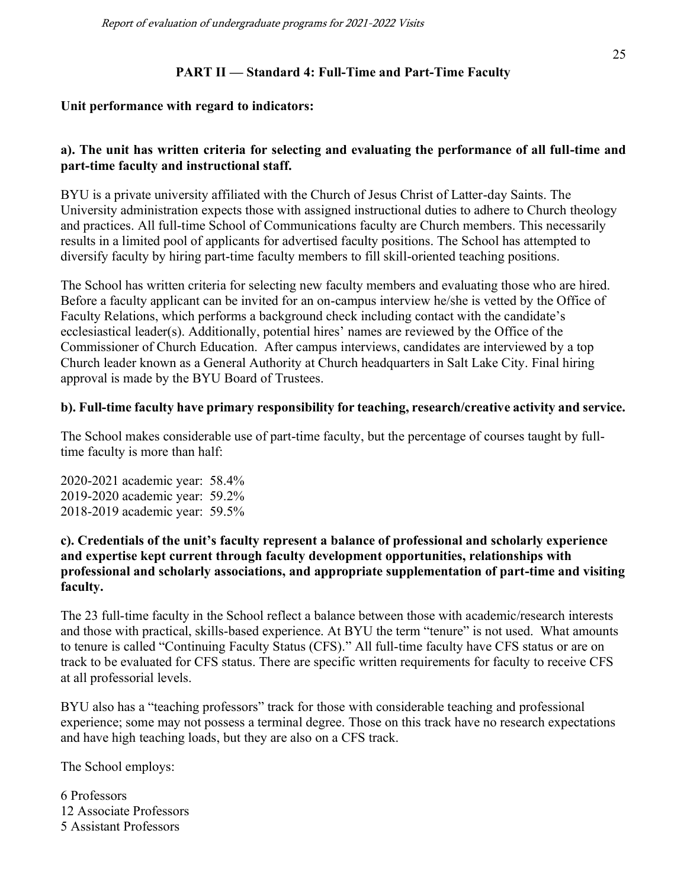## **PART II — Standard 4: Full-Time and Part-Time Faculty**

#### **Unit performance with regard to indicators:**

#### **a). The unit has written criteria for selecting and evaluating the performance of all full-time and part-time faculty and instructional staff.**

BYU is a private university affiliated with the Church of Jesus Christ of Latter-day Saints. The University administration expects those with assigned instructional duties to adhere to Church theology and practices. All full-time School of Communications faculty are Church members. This necessarily results in a limited pool of applicants for advertised faculty positions. The School has attempted to diversify faculty by hiring part-time faculty members to fill skill-oriented teaching positions.

The School has written criteria for selecting new faculty members and evaluating those who are hired. Before a faculty applicant can be invited for an on-campus interview he/she is vetted by the Office of Faculty Relations, which performs a background check including contact with the candidate's ecclesiastical leader(s). Additionally, potential hires' names are reviewed by the Office of the Commissioner of Church Education. After campus interviews, candidates are interviewed by a top Church leader known as a General Authority at Church headquarters in Salt Lake City. Final hiring approval is made by the BYU Board of Trustees.

#### **b). Full-time faculty have primary responsibility for teaching, research/creative activity and service.**

The School makes considerable use of part-time faculty, but the percentage of courses taught by fulltime faculty is more than half:

2020-2021 academic year: 58.4% 2019-2020 academic year: 59.2% 2018-2019 academic year: 59.5%

#### **c). Credentials of the unit's faculty represent a balance of professional and scholarly experience and expertise kept current through faculty development opportunities, relationships with professional and scholarly associations, and appropriate supplementation of part-time and visiting faculty.**

The 23 full-time faculty in the School reflect a balance between those with academic/research interests and those with practical, skills-based experience. At BYU the term "tenure" is not used. What amounts to tenure is called "Continuing Faculty Status (CFS)." All full-time faculty have CFS status or are on track to be evaluated for CFS status. There are specific written requirements for faculty to receive CFS at all professorial levels.

BYU also has a "teaching professors" track for those with considerable teaching and professional experience; some may not possess a terminal degree. Those on this track have no research expectations and have high teaching loads, but they are also on a CFS track.

The School employs:

6 Professors 12 Associate Professors 5 Assistant Professors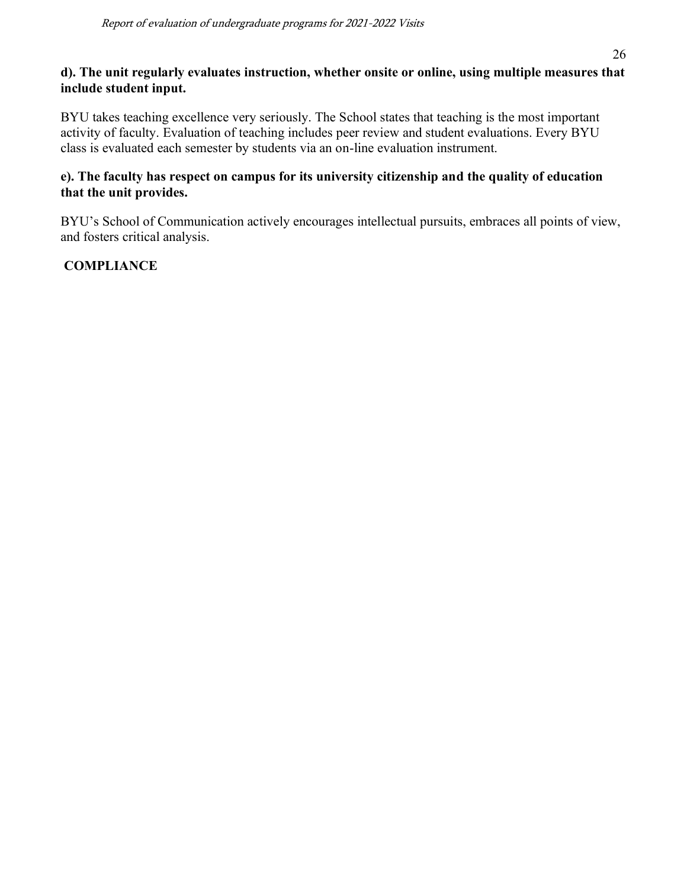# **d). The unit regularly evaluates instruction, whether onsite or online, using multiple measures that include student input.**

BYU takes teaching excellence very seriously. The School states that teaching is the most important activity of faculty. Evaluation of teaching includes peer review and student evaluations. Every BYU class is evaluated each semester by students via an on-line evaluation instrument.

# **e). The faculty has respect on campus for its university citizenship and the quality of education that the unit provides.**

BYU's School of Communication actively encourages intellectual pursuits, embraces all points of view, and fosters critical analysis.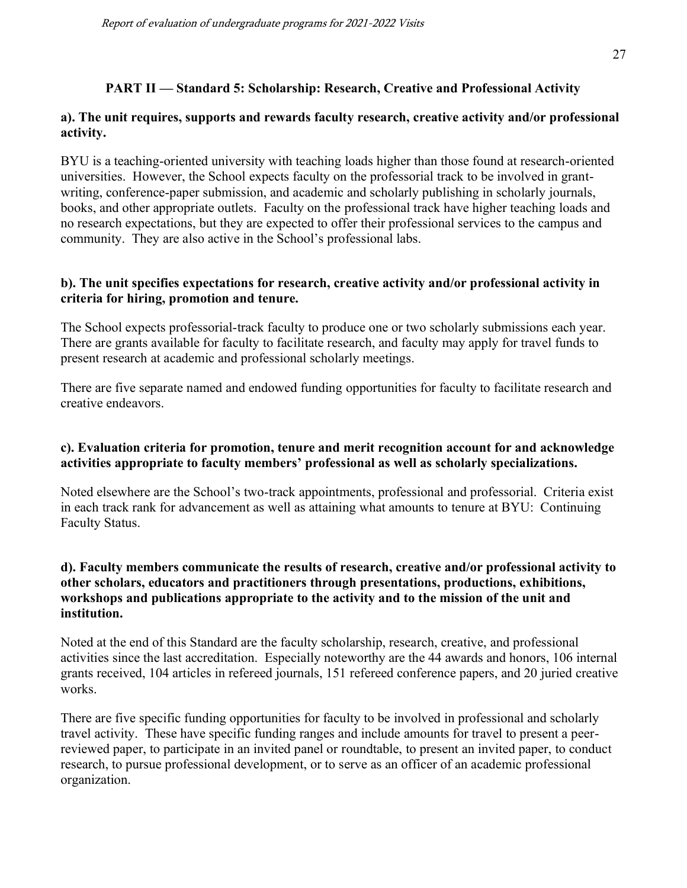# **PART II — Standard 5: Scholarship: Research, Creative and Professional Activity**

#### **a). The unit requires, supports and rewards faculty research, creative activity and/or professional activity.**

BYU is a teaching-oriented university with teaching loads higher than those found at research-oriented universities. However, the School expects faculty on the professorial track to be involved in grantwriting, conference-paper submission, and academic and scholarly publishing in scholarly journals, books, and other appropriate outlets. Faculty on the professional track have higher teaching loads and no research expectations, but they are expected to offer their professional services to the campus and community. They are also active in the School's professional labs.

#### **b). The unit specifies expectations for research, creative activity and/or professional activity in criteria for hiring, promotion and tenure.**

The School expects professorial-track faculty to produce one or two scholarly submissions each year. There are grants available for faculty to facilitate research, and faculty may apply for travel funds to present research at academic and professional scholarly meetings.

There are five separate named and endowed funding opportunities for faculty to facilitate research and creative endeavors.

## **c). Evaluation criteria for promotion, tenure and merit recognition account for and acknowledge activities appropriate to faculty members' professional as well as scholarly specializations.**

Noted elsewhere are the School's two-track appointments, professional and professorial. Criteria exist in each track rank for advancement as well as attaining what amounts to tenure at BYU: Continuing Faculty Status.

## **d). Faculty members communicate the results of research, creative and/or professional activity to other scholars, educators and practitioners through presentations, productions, exhibitions, workshops and publications appropriate to the activity and to the mission of the unit and institution.**

Noted at the end of this Standard are the faculty scholarship, research, creative, and professional activities since the last accreditation. Especially noteworthy are the 44 awards and honors, 106 internal grants received, 104 articles in refereed journals, 151 refereed conference papers, and 20 juried creative works.

There are five specific funding opportunities for faculty to be involved in professional and scholarly travel activity. These have specific funding ranges and include amounts for travel to present a peerreviewed paper, to participate in an invited panel or roundtable, to present an invited paper, to conduct research, to pursue professional development, or to serve as an officer of an academic professional organization.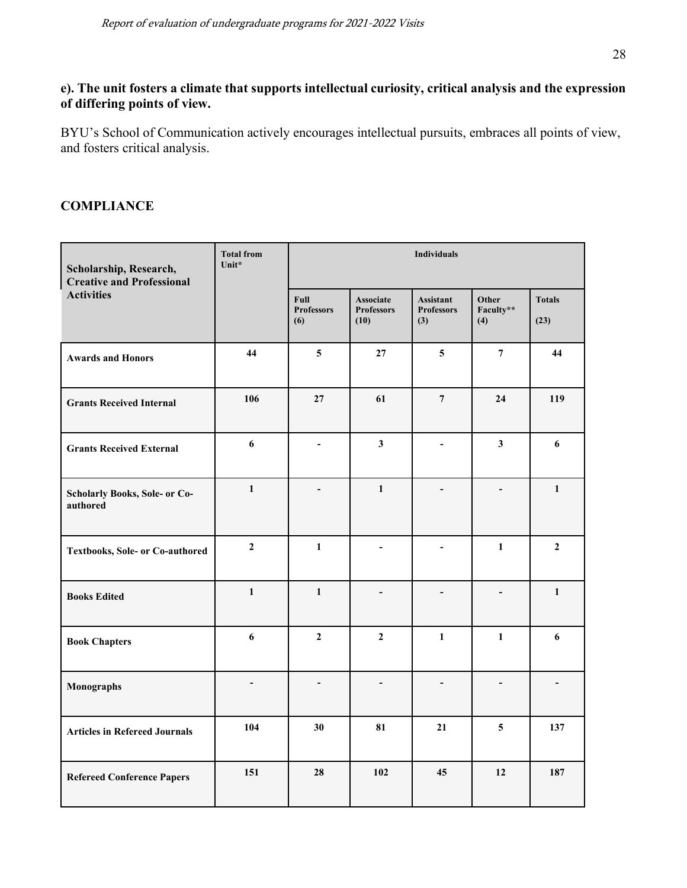# **e). The unit fosters a climate that supports intellectual curiosity, critical analysis and the expression of differing points of view.**

BYU's School of Communication actively encourages intellectual pursuits, embraces all points of view, and fosters critical analysis.

| Scholarship, Research,<br><b>Creative and Professional</b> | <b>Total from</b><br>Unit* | <b>Individuals</b>                      |                                        |                                         |                           |                          |
|------------------------------------------------------------|----------------------------|-----------------------------------------|----------------------------------------|-----------------------------------------|---------------------------|--------------------------|
| <b>Activities</b>                                          |                            | <b>Full</b><br><b>Professors</b><br>(6) | Associate<br><b>Professors</b><br>(10) | Assistant<br><b>Professors</b><br>$(3)$ | Other<br>Faculty**<br>(4) | <b>Totals</b><br>(23)    |
| <b>Awards and Honors</b>                                   | 44                         | 5                                       | 27                                     | 5                                       | $7\phantom{.0}$           | 44                       |
| <b>Grants Received Internal</b>                            | 106                        | 27                                      | 61                                     | $\overline{7}$                          | 24                        | 119                      |
| <b>Grants Received External</b>                            | $\boldsymbol{6}$           | $\blacksquare$                          | $\overline{\mathbf{3}}$                | $\overline{a}$                          | $\mathbf{3}$              | 6                        |
| <b>Scholarly Books, Sole- or Co-</b><br>authored           | $\mathbf{1}$               | $\overline{\phantom{a}}$                | $\mathbf{1}$                           | L,                                      | $\overline{\phantom{a}}$  | $\mathbf{1}$             |
| Textbooks, Sole- or Co-authored                            | $\overline{2}$             | 1                                       | $\qquad \qquad \blacksquare$           | -                                       | $\mathbf{1}$              | $\overline{2}$           |
| <b>Books Edited</b>                                        | $\mathbf{1}$               | $\mathbf{1}$                            | $\overline{a}$                         |                                         | $\blacksquare$            | $\mathbf{1}$             |
| <b>Book Chapters</b>                                       | 6                          | $\overline{2}$                          | $\mathbf{2}$                           | $\mathbf{1}$                            | $\mathbf{1}$              | 6                        |
| Monographs                                                 | $\overline{\phantom{a}}$   | $\blacksquare$                          | $\overline{\phantom{a}}$               | $\blacksquare$                          | $\overline{\phantom{0}}$  | $\overline{\phantom{0}}$ |
| <b>Articles in Refereed Journals</b>                       | 104                        | 30                                      | 81                                     | 21                                      | 5                         | 137                      |
| <b>Refereed Conference Papers</b>                          | 151                        | 28                                      | 102                                    | 45                                      | 12                        | 187                      |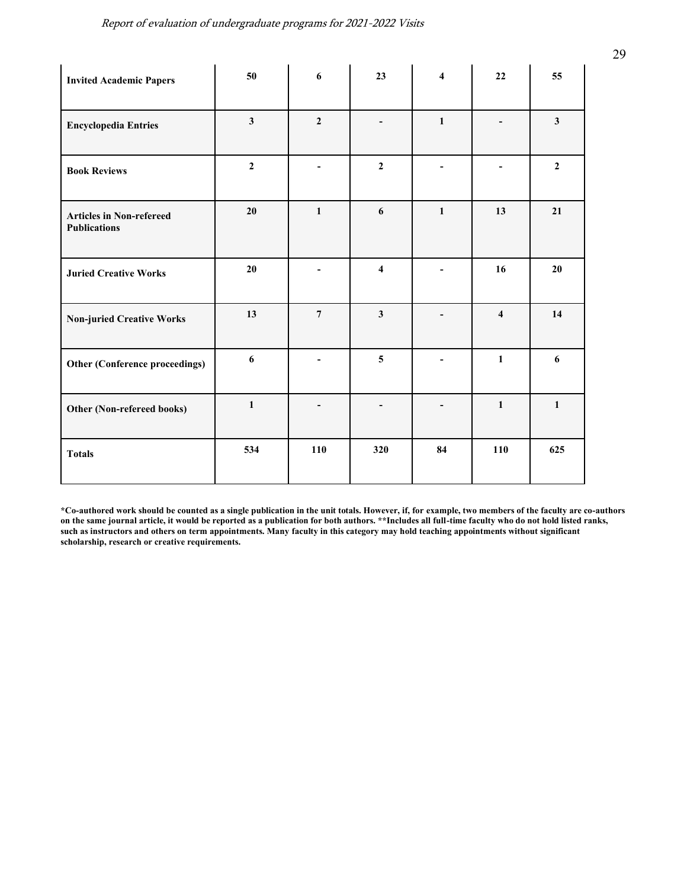| <b>Invited Academic Papers</b>                         | 50                      | 6                        | 23                       | $\overline{\mathbf{4}}$ | 22                       | 55           |
|--------------------------------------------------------|-------------------------|--------------------------|--------------------------|-------------------------|--------------------------|--------------|
| <b>Encyclopedia Entries</b>                            | $\overline{\mathbf{3}}$ | $\boldsymbol{2}$         | $\overline{\phantom{0}}$ | $\mathbf{1}$            | $\overline{\phantom{0}}$ | $\mathbf{3}$ |
| <b>Book Reviews</b>                                    | $\mathbf{2}$            | $\overline{\phantom{a}}$ | $\mathbf{2}$             | $\blacksquare$          | $\overline{\phantom{a}}$ | $\mathbf{2}$ |
| <b>Articles in Non-refereed</b><br><b>Publications</b> | 20                      | $\mathbf{1}$             | 6                        | $\mathbf{1}$            | 13                       | 21           |
| <b>Juried Creative Works</b>                           | 20                      | $\blacksquare$           | $\overline{\mathbf{4}}$  |                         | 16                       | 20           |
| <b>Non-juried Creative Works</b>                       | 13                      | $\overline{7}$           | $\mathbf{3}$             |                         | $\overline{\bf{4}}$      | 14           |
| Other (Conference proceedings)                         | 6                       | $\blacksquare$           | 5                        |                         | $\mathbf{1}$             | 6            |
| Other (Non-refereed books)                             | $\mathbf{1}$            |                          |                          |                         | $\mathbf{1}$             | $\mathbf{1}$ |
| <b>Totals</b>                                          | 534                     | 110                      | 320                      | 84                      | 110                      | 625          |

**\*Co-authored work should be counted as a single publication in the unit totals. However, if, for example, two members of the faculty are co-authors on the same journal article, it would be reported as a publication for both authors. \*\*Includes all full-time faculty who do not hold listed ranks, such as instructors and others on term appointments. Many faculty in this category may hold teaching appointments without significant scholarship, research or creative requirements.**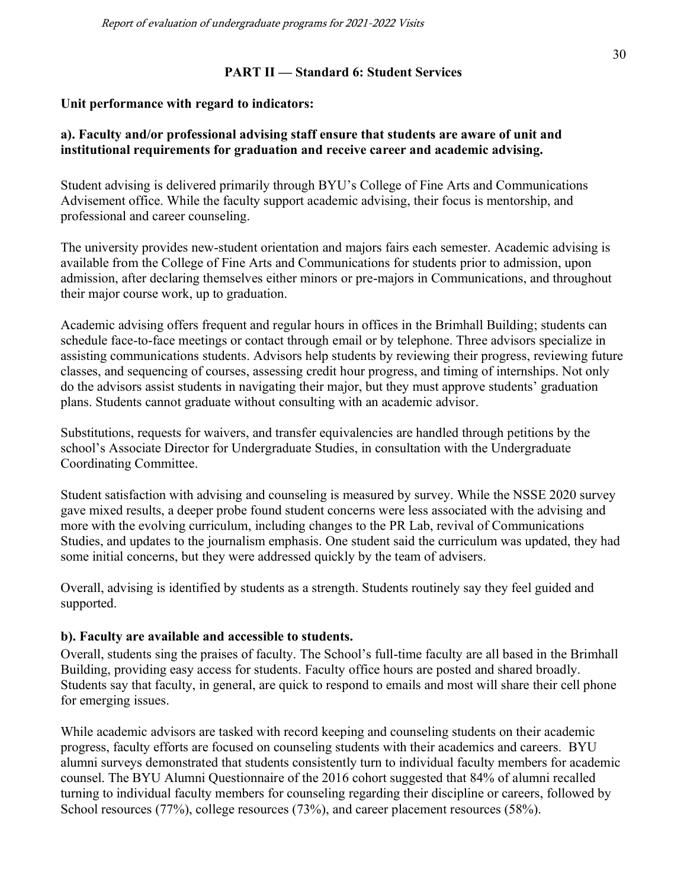#### **PART II — Standard 6: Student Services**

#### **Unit performance with regard to indicators:**

#### **a). Faculty and/or professional advising staff ensure that students are aware of unit and institutional requirements for graduation and receive career and academic advising.**

Student advising is delivered primarily through BYU's College of Fine Arts and Communications Advisement office. While the faculty support academic advising, their focus is mentorship, and professional and career counseling.

The university provides new-student orientation and majors fairs each semester. Academic advising is available from the College of Fine Arts and Communications for students prior to admission, upon admission, after declaring themselves either minors or pre-majors in Communications, and throughout their major course work, up to graduation.

Academic advising offers frequent and regular hours in offices in the Brimhall Building; students can schedule face-to-face meetings or contact through email or by telephone. Three advisors specialize in assisting communications students. Advisors help students by reviewing their progress, reviewing future classes, and sequencing of courses, assessing credit hour progress, and timing of internships. Not only do the advisors assist students in navigating their major, but they must approve students' graduation plans. Students cannot graduate without consulting with an academic advisor.

Substitutions, requests for waivers, and transfer equivalencies are handled through petitions by the school's Associate Director for Undergraduate Studies, in consultation with the Undergraduate Coordinating Committee.

Student satisfaction with advising and counseling is measured by survey. While the NSSE 2020 survey gave mixed results, a deeper probe found student concerns were less associated with the advising and more with the evolving curriculum, including changes to the PR Lab, revival of Communications Studies, and updates to the journalism emphasis. One student said the curriculum was updated, they had some initial concerns, but they were addressed quickly by the team of advisers.

Overall, advising is identified by students as a strength. Students routinely say they feel guided and supported.

## **b). Faculty are available and accessible to students.**

Overall, students sing the praises of faculty. The School's full-time faculty are all based in the Brimhall Building, providing easy access for students. Faculty office hours are posted and shared broadly. Students say that faculty, in general, are quick to respond to emails and most will share their cell phone for emerging issues.

While academic advisors are tasked with record keeping and counseling students on their academic progress, faculty efforts are focused on counseling students with their academics and careers. BYU alumni surveys demonstrated that students consistently turn to individual faculty members for academic counsel. The BYU Alumni Questionnaire of the 2016 cohort suggested that 84% of alumni recalled turning to individual faculty members for counseling regarding their discipline or careers, followed by School resources (77%), college resources (73%), and career placement resources (58%).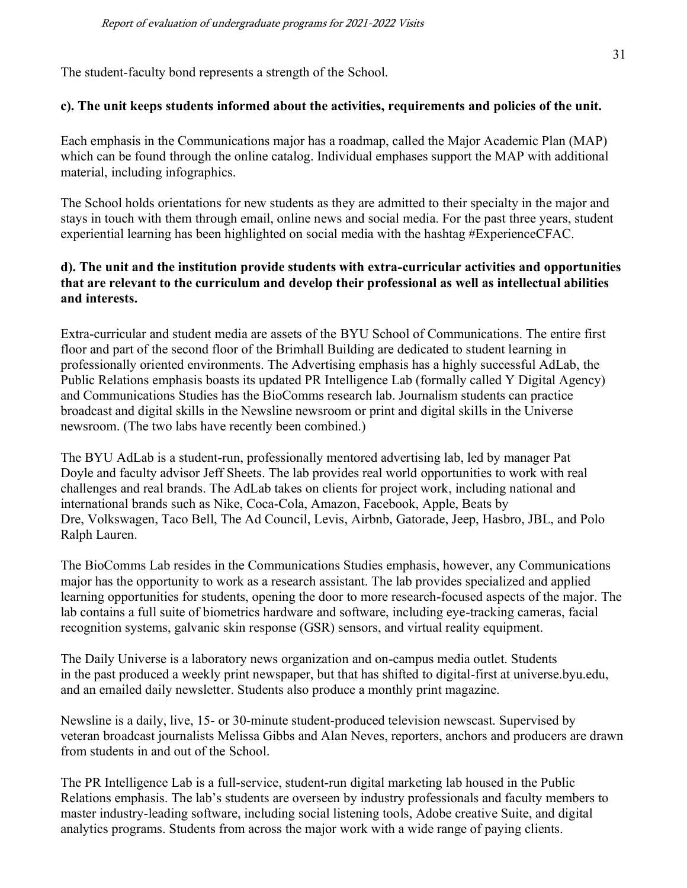The student-faculty bond represents a strength of the School.

#### **c). The unit keeps students informed about the activities, requirements and policies of the unit.**

Each emphasis in the Communications major has a roadmap, called the Major Academic Plan (MAP) which can be found through the online catalog. Individual emphases support the MAP with additional material, including infographics.

The School holds orientations for new students as they are admitted to their specialty in the major and stays in touch with them through email, online news and social media. For the past three years, student experiential learning has been highlighted on social media with the hashtag #ExperienceCFAC.

## **d). The unit and the institution provide students with extra-curricular activities and opportunities that are relevant to the curriculum and develop their professional as well as intellectual abilities and interests.**

Extra-curricular and student media are assets of the BYU School of Communications. The entire first floor and part of the second floor of the Brimhall Building are dedicated to student learning in professionally oriented environments. The Advertising emphasis has a highly successful AdLab, the Public Relations emphasis boasts its updated PR Intelligence Lab (formally called Y Digital Agency) and Communications Studies has the BioComms research lab. Journalism students can practice broadcast and digital skills in the Newsline newsroom or print and digital skills in the Universe newsroom. (The two labs have recently been combined.)

The BYU AdLab is a student-run, professionally mentored advertising lab, led by manager Pat Doyle and faculty advisor Jeff Sheets. The lab provides real world opportunities to work with real challenges and real brands. The AdLab takes on clients for project work, including national and international brands such as Nike, Coca-Cola, Amazon, Facebook, Apple, Beats by Dre, Volkswagen, Taco Bell, The Ad Council, Levis, Airbnb, Gatorade, Jeep, Hasbro, JBL, and Polo Ralph Lauren.

The BioComms Lab resides in the Communications Studies emphasis, however, any Communications major has the opportunity to work as a research assistant. The lab provides specialized and applied learning opportunities for students, opening the door to more research-focused aspects of the major. The lab contains a full suite of biometrics hardware and software, including eye-tracking cameras, facial recognition systems, galvanic skin response (GSR) sensors, and virtual reality equipment.

The Daily Universe is a laboratory news organization and on-campus media outlet. Students in the past produced a weekly print newspaper, but that has shifted to digital-first at universe.byu.edu, and an emailed daily newsletter. Students also produce a monthly print magazine.

Newsline is a daily, live, 15- or 30-minute student-produced television newscast. Supervised by veteran broadcast journalists Melissa Gibbs and Alan Neves, reporters, anchors and producers are drawn from students in and out of the School.

The PR Intelligence Lab is a full-service, student-run digital marketing lab housed in the Public Relations emphasis. The lab's students are overseen by industry professionals and faculty members to master industry-leading software, including social listening tools, Adobe creative Suite, and digital analytics programs. Students from across the major work with a wide range of paying clients.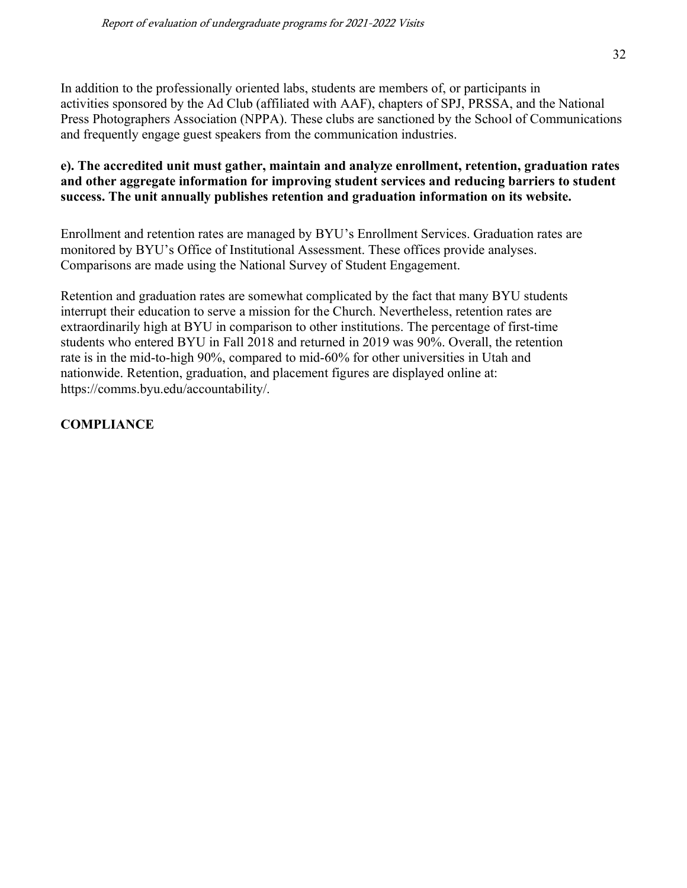In addition to the professionally oriented labs, students are members of, or participants in activities sponsored by the Ad Club (affiliated with AAF), chapters of SPJ, PRSSA, and the National Press Photographers Association (NPPA). These clubs are sanctioned by the School of Communications and frequently engage guest speakers from the communication industries.

## **e). The accredited unit must gather, maintain and analyze enrollment, retention, graduation rates and other aggregate information for improving student services and reducing barriers to student success. The unit annually publishes retention and graduation information on its website.**

Enrollment and retention rates are managed by BYU's Enrollment Services. Graduation rates are monitored by BYU's Office of Institutional Assessment. These offices provide analyses. Comparisons are made using the National Survey of Student Engagement.

Retention and graduation rates are somewhat complicated by the fact that many BYU students interrupt their education to serve a mission for the Church. Nevertheless, retention rates are extraordinarily high at BYU in comparison to other institutions. The percentage of first-time students who entered BYU in Fall 2018 and returned in 2019 was 90%. Overall, the retention rate is in the mid-to-high 90%, compared to mid-60% for other universities in Utah and nationwide. Retention, graduation, and placement figures are displayed online at: https://comms.byu.edu/accountability/.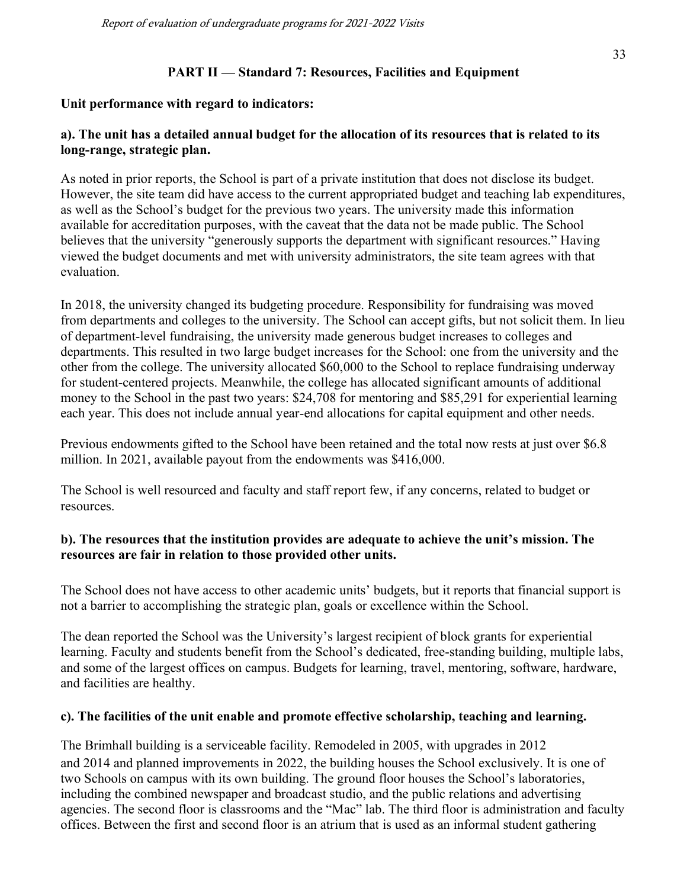## **PART II — Standard 7: Resources, Facilities and Equipment**

#### **Unit performance with regard to indicators:**

## **a). The unit has a detailed annual budget for the allocation of its resources that is related to its long-range, strategic plan.**

As noted in prior reports, the School is part of a private institution that does not disclose its budget. However, the site team did have access to the current appropriated budget and teaching lab expenditures, as well as the School's budget for the previous two years. The university made this information available for accreditation purposes, with the caveat that the data not be made public. The School believes that the university "generously supports the department with significant resources." Having viewed the budget documents and met with university administrators, the site team agrees with that evaluation.

In 2018, the university changed its budgeting procedure. Responsibility for fundraising was moved from departments and colleges to the university. The School can accept gifts, but not solicit them. In lieu of department-level fundraising, the university made generous budget increases to colleges and departments. This resulted in two large budget increases for the School: one from the university and the other from the college. The university allocated \$60,000 to the School to replace fundraising underway for student-centered projects. Meanwhile, the college has allocated significant amounts of additional money to the School in the past two years: \$24,708 for mentoring and \$85,291 for experiential learning each year. This does not include annual year-end allocations for capital equipment and other needs.

Previous endowments gifted to the School have been retained and the total now rests at just over \$6.8 million. In 2021, available payout from the endowments was \$416,000.

The School is well resourced and faculty and staff report few, if any concerns, related to budget or resources.

## **b). The resources that the institution provides are adequate to achieve the unit's mission. The resources are fair in relation to those provided other units.**

The School does not have access to other academic units' budgets, but it reports that financial support is not a barrier to accomplishing the strategic plan, goals or excellence within the School.

The dean reported the School was the University's largest recipient of block grants for experiential learning. Faculty and students benefit from the School's dedicated, free-standing building, multiple labs, and some of the largest offices on campus. Budgets for learning, travel, mentoring, software, hardware, and facilities are healthy.

## **c). The facilities of the unit enable and promote effective scholarship, teaching and learning.**

The Brimhall building is a serviceable facility. Remodeled in 2005, with upgrades in 2012 and 2014 and planned improvements in 2022, the building houses the School exclusively. It is one of two Schools on campus with its own building. The ground floor houses the School's laboratories, including the combined newspaper and broadcast studio, and the public relations and advertising agencies. The second floor is classrooms and the "Mac" lab. The third floor is administration and faculty offices. Between the first and second floor is an atrium that is used as an informal student gathering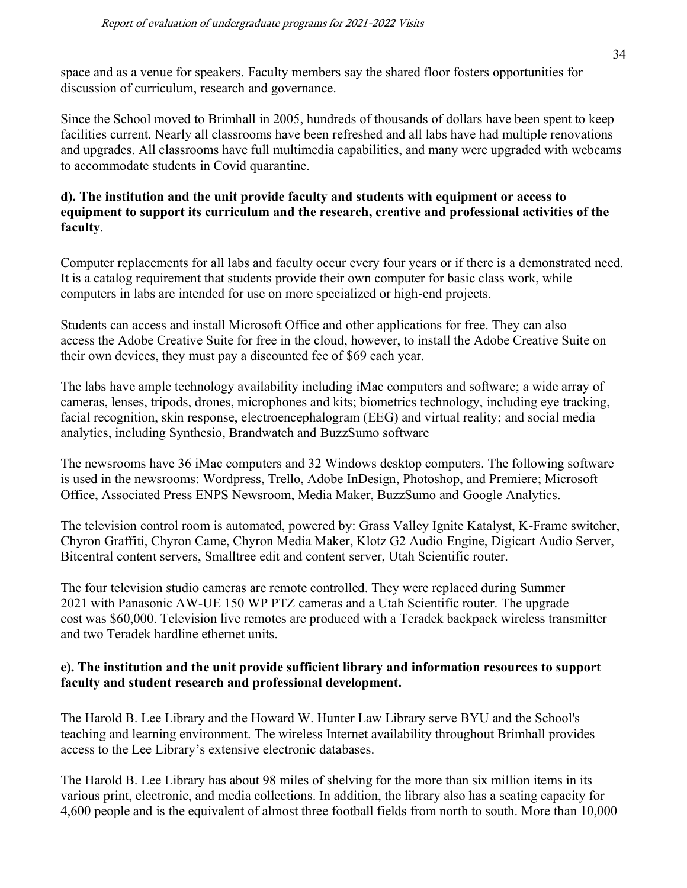space and as a venue for speakers. Faculty members say the shared floor fosters opportunities for discussion of curriculum, research and governance.

Since the School moved to Brimhall in 2005, hundreds of thousands of dollars have been spent to keep facilities current. Nearly all classrooms have been refreshed and all labs have had multiple renovations and upgrades. All classrooms have full multimedia capabilities, and many were upgraded with webcams to accommodate students in Covid quarantine.

#### **d). The institution and the unit provide faculty and students with equipment or access to equipment to support its curriculum and the research, creative and professional activities of the faculty**.

Computer replacements for all labs and faculty occur every four years or if there is a demonstrated need. It is a catalog requirement that students provide their own computer for basic class work, while computers in labs are intended for use on more specialized or high-end projects.

Students can access and install Microsoft Office and other applications for free. They can also access the Adobe Creative Suite for free in the cloud, however, to install the Adobe Creative Suite on their own devices, they must pay a discounted fee of \$69 each year.

The labs have ample technology availability including iMac computers and software; a wide array of cameras, lenses, tripods, drones, microphones and kits; biometrics technology, including eye tracking, facial recognition, skin response, electroencephalogram (EEG) and virtual reality; and social media analytics, including Synthesio, Brandwatch and BuzzSumo software

The newsrooms have 36 iMac computers and 32 Windows desktop computers. The following software is used in the newsrooms: Wordpress, Trello, Adobe InDesign, Photoshop, and Premiere; Microsoft Office, Associated Press ENPS Newsroom, Media Maker, BuzzSumo and Google Analytics.

The television control room is automated, powered by: Grass Valley Ignite Katalyst, K-Frame switcher, Chyron Graffiti, Chyron Came, Chyron Media Maker, Klotz G2 Audio Engine, Digicart Audio Server, Bitcentral content servers, Smalltree edit and content server, Utah Scientific router.

The four television studio cameras are remote controlled. They were replaced during Summer 2021 with Panasonic AW-UE 150 WP PTZ cameras and a Utah Scientific router. The upgrade cost was \$60,000. Television live remotes are produced with a Teradek backpack wireless transmitter and two Teradek hardline ethernet units.

## **e). The institution and the unit provide sufficient library and information resources to support faculty and student research and professional development.**

The Harold B. Lee Library and the Howard W. Hunter Law Library serve BYU and the School's teaching and learning environment. The wireless Internet availability throughout Brimhall provides access to the Lee Library's extensive electronic databases.

The Harold B. Lee Library has about 98 miles of shelving for the more than six million items in its various print, electronic, and media collections. In addition, the library also has a seating capacity for 4,600 people and is the equivalent of almost three football fields from north to south. More than 10,000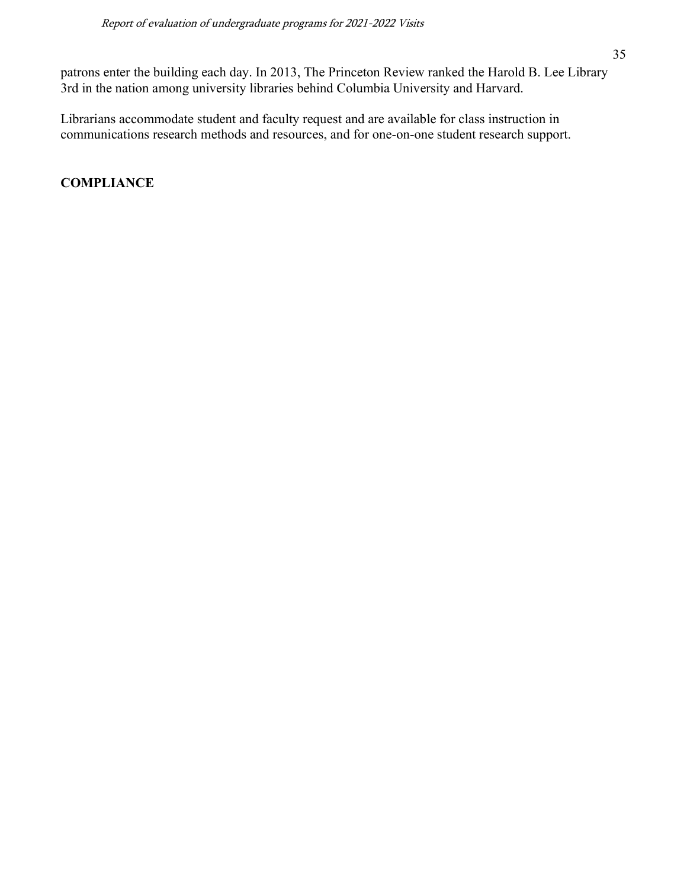patrons enter the building each day. In 2013, The Princeton Review ranked the Harold B. Lee Library 3rd in the nation among university libraries behind Columbia University and Harvard.

Librarians accommodate student and faculty request and are available for class instruction in communications research methods and resources, and for one-on-one student research support.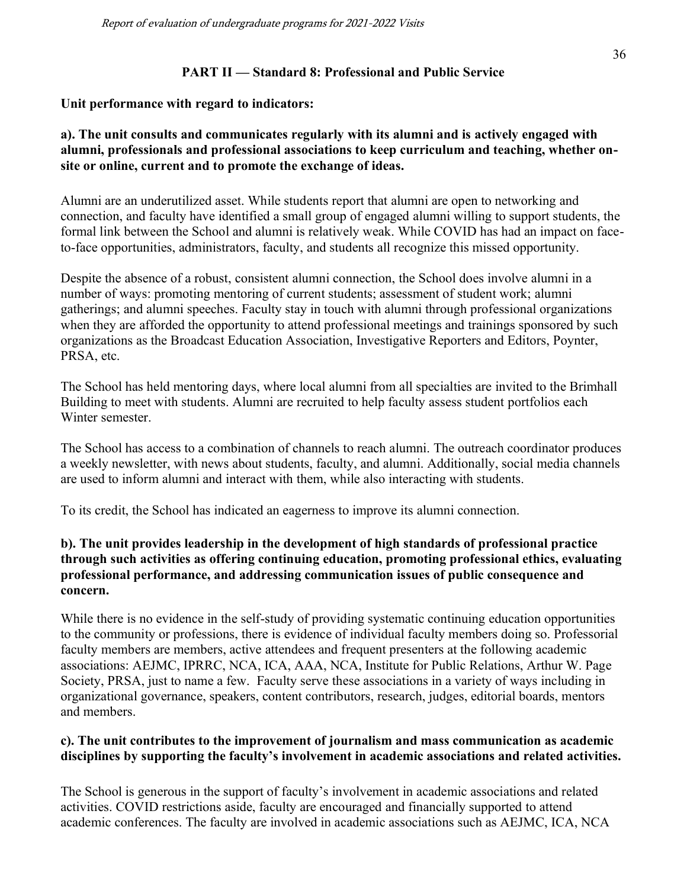#### **PART II — Standard 8: Professional and Public Service**

#### **Unit performance with regard to indicators:**

## **a). The unit consults and communicates regularly with its alumni and is actively engaged with alumni, professionals and professional associations to keep curriculum and teaching, whether onsite or online, current and to promote the exchange of ideas.**

Alumni are an underutilized asset. While students report that alumni are open to networking and connection, and faculty have identified a small group of engaged alumni willing to support students, the formal link between the School and alumni is relatively weak. While COVID has had an impact on faceto-face opportunities, administrators, faculty, and students all recognize this missed opportunity.

Despite the absence of a robust, consistent alumni connection, the School does involve alumni in a number of ways: promoting mentoring of current students; assessment of student work; alumni gatherings; and alumni speeches. Faculty stay in touch with alumni through professional organizations when they are afforded the opportunity to attend professional meetings and trainings sponsored by such organizations as the Broadcast Education Association, Investigative Reporters and Editors, Poynter, PRSA, etc.

The School has held mentoring days, where local alumni from all specialties are invited to the Brimhall Building to meet with students. Alumni are recruited to help faculty assess student portfolios each Winter semester.

The School has access to a combination of channels to reach alumni. The outreach coordinator produces a weekly newsletter, with news about students, faculty, and alumni. Additionally, social media channels are used to inform alumni and interact with them, while also interacting with students.

To its credit, the School has indicated an eagerness to improve its alumni connection.

#### **b). The unit provides leadership in the development of high standards of professional practice through such activities as offering continuing education, promoting professional ethics, evaluating professional performance, and addressing communication issues of public consequence and concern.**

While there is no evidence in the self-study of providing systematic continuing education opportunities to the community or professions, there is evidence of individual faculty members doing so. Professorial faculty members are members, active attendees and frequent presenters at the following academic associations: AEJMC, IPRRC, NCA, ICA, AAA, NCA, Institute for Public Relations, Arthur W. Page Society, PRSA, just to name a few. Faculty serve these associations in a variety of ways including in organizational governance, speakers, content contributors, research, judges, editorial boards, mentors and members.

#### **c). The unit contributes to the improvement of journalism and mass communication as academic disciplines by supporting the faculty's involvement in academic associations and related activities.**

The School is generous in the support of faculty's involvement in academic associations and related activities. COVID restrictions aside, faculty are encouraged and financially supported to attend academic conferences. The faculty are involved in academic associations such as AEJMC, ICA, NCA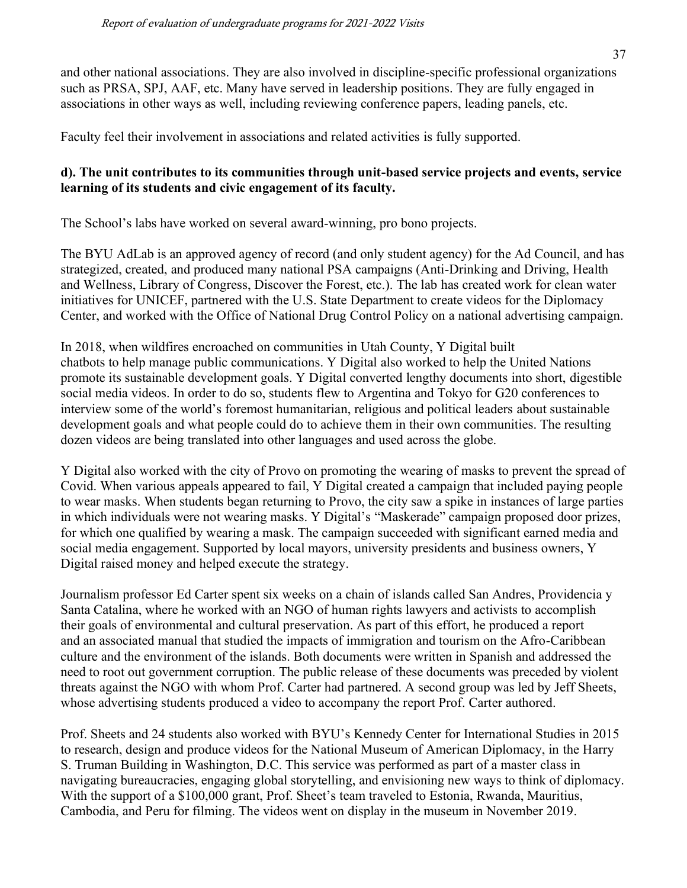and other national associations. They are also involved in discipline-specific professional organizations such as PRSA, SPJ, AAF, etc. Many have served in leadership positions. They are fully engaged in associations in other ways as well, including reviewing conference papers, leading panels, etc.

Faculty feel their involvement in associations and related activities is fully supported.

## **d). The unit contributes to its communities through unit-based service projects and events, service learning of its students and civic engagement of its faculty.**

The School's labs have worked on several award-winning, pro bono projects.

The BYU AdLab is an approved agency of record (and only student agency) for the Ad Council, and has strategized, created, and produced many national PSA campaigns (Anti-Drinking and Driving, Health and Wellness, Library of Congress, Discover the Forest, etc.). The lab has created work for clean water initiatives for UNICEF, partnered with the U.S. State Department to create videos for the Diplomacy Center, and worked with the Office of National Drug Control Policy on a national advertising campaign.

In 2018, when wildfires encroached on communities in Utah County, Y Digital built chatbots to help manage public communications. Y Digital also worked to help the United Nations promote its sustainable development goals. Y Digital converted lengthy documents into short, digestible social media videos. In order to do so, students flew to Argentina and Tokyo for G20 conferences to interview some of the world's foremost humanitarian, religious and political leaders about sustainable development goals and what people could do to achieve them in their own communities. The resulting dozen videos are being translated into other languages and used across the globe.

Y Digital also worked with the city of Provo on promoting the wearing of masks to prevent the spread of Covid. When various appeals appeared to fail, Y Digital created a campaign that included paying people to wear masks. When students began returning to Provo, the city saw a spike in instances of large parties in which individuals were not wearing masks. Y Digital's "Maskerade" campaign proposed door prizes, for which one qualified by wearing a mask. The campaign succeeded with significant earned media and social media engagement. Supported by local mayors, university presidents and business owners, Y Digital raised money and helped execute the strategy.

Journalism professor Ed Carter spent six weeks on a chain of islands called San Andres, Providencia y Santa Catalina, where he worked with an NGO of human rights lawyers and activists to accomplish their goals of environmental and cultural preservation. As part of this effort, he produced a report and an associated manual that studied the impacts of immigration and tourism on the Afro-Caribbean culture and the environment of the islands. Both documents were written in Spanish and addressed the need to root out government corruption. The public release of these documents was preceded by violent threats against the NGO with whom Prof. Carter had partnered. A second group was led by Jeff Sheets, whose advertising students produced a video to accompany the report Prof. Carter authored.

Prof. Sheets and 24 students also worked with BYU's Kennedy Center for International Studies in 2015 to research, design and produce videos for the National Museum of American Diplomacy, in the Harry S. Truman Building in Washington, D.C. This service was performed as part of a master class in navigating bureaucracies, engaging global storytelling, and envisioning new ways to think of diplomacy. With the support of a \$100,000 grant, Prof. Sheet's team traveled to Estonia, Rwanda, Mauritius, Cambodia, and Peru for filming. The videos went on display in the museum in November 2019.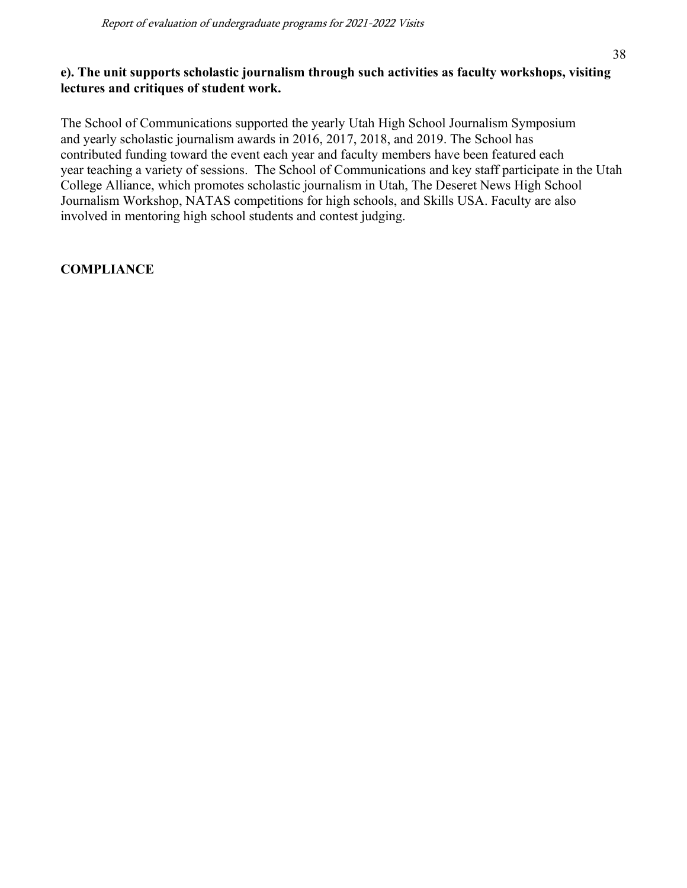## **e). The unit supports scholastic journalism through such activities as faculty workshops, visiting lectures and critiques of student work.**

The School of Communications supported the yearly Utah High School Journalism Symposium and yearly scholastic journalism awards in 2016, 2017, 2018, and 2019. The School has contributed funding toward the event each year and faculty members have been featured each year teaching a variety of sessions. The School of Communications and key staff participate in the Utah College Alliance, which promotes scholastic journalism in Utah, The Deseret News High School Journalism Workshop, NATAS competitions for high schools, and Skills USA. Faculty are also involved in mentoring high school students and contest judging.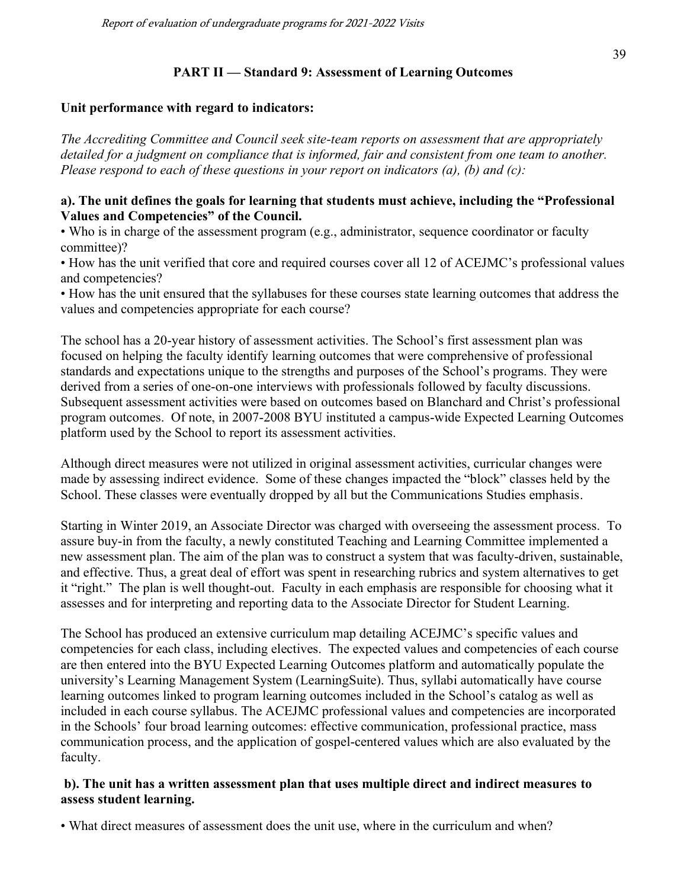#### **PART II — Standard 9: Assessment of Learning Outcomes**

#### **Unit performance with regard to indicators:**

*The Accrediting Committee and Council seek site-team reports on assessment that are appropriately detailed for a judgment on compliance that is informed, fair and consistent from one team to another. Please respond to each of these questions in your report on indicators (a), (b) and (c):*

#### **a). The unit defines the goals for learning that students must achieve, including the "Professional Values and Competencies" of the Council.**

• Who is in charge of the assessment program (e.g., administrator, sequence coordinator or faculty committee)?

• How has the unit verified that core and required courses cover all 12 of ACEJMC's professional values and competencies?

• How has the unit ensured that the syllabuses for these courses state learning outcomes that address the values and competencies appropriate for each course?

The school has a 20-year history of assessment activities. The School's first assessment plan was focused on helping the faculty identify learning outcomes that were comprehensive of professional standards and expectations unique to the strengths and purposes of the School's programs. They were derived from a series of one-on-one interviews with professionals followed by faculty discussions. Subsequent assessment activities were based on outcomes based on Blanchard and Christ's professional program outcomes. Of note, in 2007-2008 BYU instituted a campus-wide Expected Learning Outcomes platform used by the School to report its assessment activities.

Although direct measures were not utilized in original assessment activities, curricular changes were made by assessing indirect evidence. Some of these changes impacted the "block" classes held by the School. These classes were eventually dropped by all but the Communications Studies emphasis.

Starting in Winter 2019, an Associate Director was charged with overseeing the assessment process. To assure buy-in from the faculty, a newly constituted Teaching and Learning Committee implemented a new assessment plan. The aim of the plan was to construct a system that was faculty-driven, sustainable, and effective. Thus, a great deal of effort was spent in researching rubrics and system alternatives to get it "right." The plan is well thought-out. Faculty in each emphasis are responsible for choosing what it assesses and for interpreting and reporting data to the Associate Director for Student Learning.

The School has produced an extensive curriculum map detailing ACEJMC's specific values and competencies for each class, including electives. The expected values and competencies of each course are then entered into the BYU Expected Learning Outcomes platform and automatically populate the university's Learning Management System (LearningSuite). Thus, syllabi automatically have course learning outcomes linked to program learning outcomes included in the School's catalog as well as included in each course syllabus. The ACEJMC professional values and competencies are incorporated in the Schools' four broad learning outcomes: effective communication, professional practice, mass communication process, and the application of gospel-centered values which are also evaluated by the faculty.

#### **b). The unit has a written assessment plan that uses multiple direct and indirect measures to assess student learning.**

• What direct measures of assessment does the unit use, where in the curriculum and when?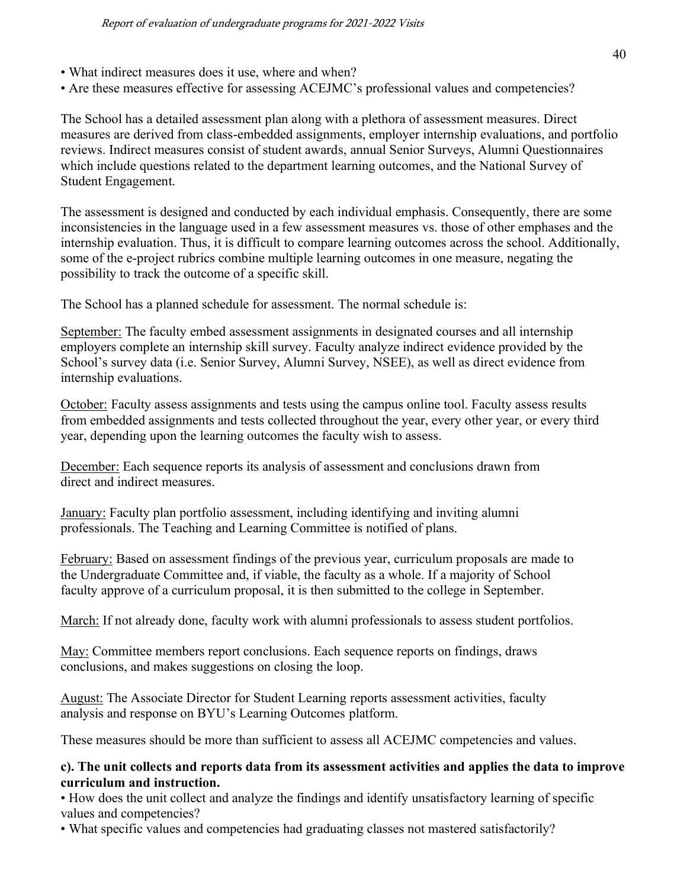- What indirect measures does it use, where and when?
- Are these measures effective for assessing ACEJMC's professional values and competencies?

The School has a detailed assessment plan along with a plethora of assessment measures. Direct measures are derived from class-embedded assignments, employer internship evaluations, and portfolio reviews. Indirect measures consist of student awards, annual Senior Surveys, Alumni Questionnaires which include questions related to the department learning outcomes, and the National Survey of Student Engagement.

The assessment is designed and conducted by each individual emphasis. Consequently, there are some inconsistencies in the language used in a few assessment measures vs. those of other emphases and the internship evaluation. Thus, it is difficult to compare learning outcomes across the school. Additionally, some of the e-project rubrics combine multiple learning outcomes in one measure, negating the possibility to track the outcome of a specific skill.

The School has a planned schedule for assessment. The normal schedule is:

September: The faculty embed assessment assignments in designated courses and all internship employers complete an internship skill survey. Faculty analyze indirect evidence provided by the School's survey data (i.e. Senior Survey, Alumni Survey, NSEE), as well as direct evidence from internship evaluations.

October: Faculty assess assignments and tests using the campus online tool. Faculty assess results from embedded assignments and tests collected throughout the year, every other year, or every third year, depending upon the learning outcomes the faculty wish to assess.

December: Each sequence reports its analysis of assessment and conclusions drawn from direct and indirect measures.

January: Faculty plan portfolio assessment, including identifying and inviting alumni professionals. The Teaching and Learning Committee is notified of plans.

February: Based on assessment findings of the previous year, curriculum proposals are made to the Undergraduate Committee and, if viable, the faculty as a whole. If a majority of School faculty approve of a curriculum proposal, it is then submitted to the college in September.

March: If not already done, faculty work with alumni professionals to assess student portfolios.

May: Committee members report conclusions. Each sequence reports on findings, draws conclusions, and makes suggestions on closing the loop.

August: The Associate Director for Student Learning reports assessment activities, faculty analysis and response on BYU's Learning Outcomes platform.

These measures should be more than sufficient to assess all ACEJMC competencies and values.

#### **c). The unit collects and reports data from its assessment activities and applies the data to improve curriculum and instruction.**

• How does the unit collect and analyze the findings and identify unsatisfactory learning of specific values and competencies?

• What specific values and competencies had graduating classes not mastered satisfactorily?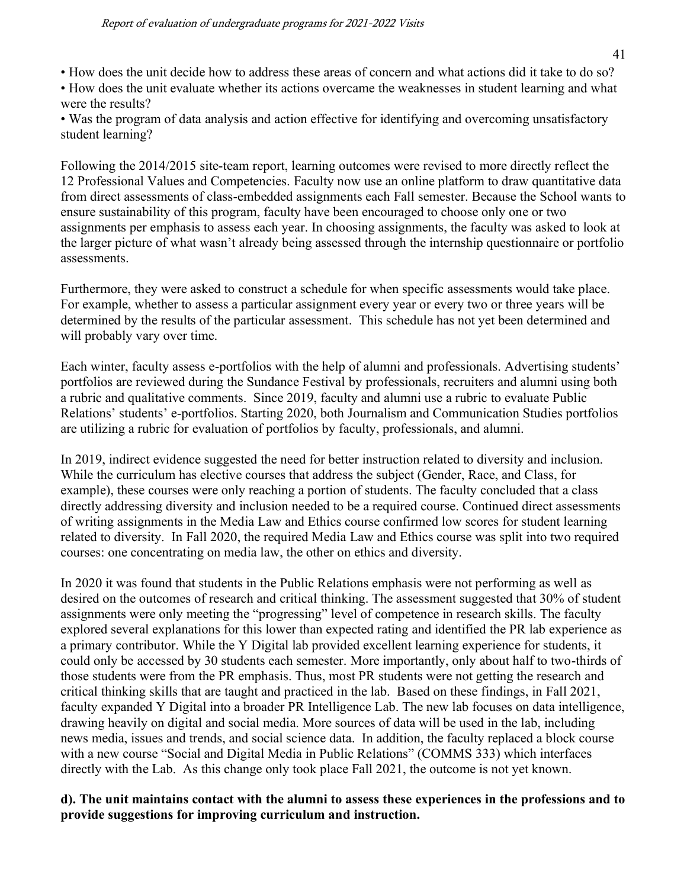• How does the unit decide how to address these areas of concern and what actions did it take to do so?

• How does the unit evaluate whether its actions overcame the weaknesses in student learning and what were the results?

• Was the program of data analysis and action effective for identifying and overcoming unsatisfactory student learning?

Following the 2014/2015 site-team report, learning outcomes were revised to more directly reflect the 12 Professional Values and Competencies. Faculty now use an online platform to draw quantitative data from direct assessments of class-embedded assignments each Fall semester. Because the School wants to ensure sustainability of this program, faculty have been encouraged to choose only one or two assignments per emphasis to assess each year. In choosing assignments, the faculty was asked to look at the larger picture of what wasn't already being assessed through the internship questionnaire or portfolio assessments.

Furthermore, they were asked to construct a schedule for when specific assessments would take place. For example, whether to assess a particular assignment every year or every two or three years will be determined by the results of the particular assessment. This schedule has not yet been determined and will probably vary over time.

Each winter, faculty assess e-portfolios with the help of alumni and professionals. Advertising students' portfolios are reviewed during the Sundance Festival by professionals, recruiters and alumni using both a rubric and qualitative comments. Since 2019, faculty and alumni use a rubric to evaluate Public Relations' students' e-portfolios. Starting 2020, both Journalism and Communication Studies portfolios are utilizing a rubric for evaluation of portfolios by faculty, professionals, and alumni.

In 2019, indirect evidence suggested the need for better instruction related to diversity and inclusion. While the curriculum has elective courses that address the subject (Gender, Race, and Class, for example), these courses were only reaching a portion of students. The faculty concluded that a class directly addressing diversity and inclusion needed to be a required course. Continued direct assessments of writing assignments in the Media Law and Ethics course confirmed low scores for student learning related to diversity. In Fall 2020, the required Media Law and Ethics course was split into two required courses: one concentrating on media law, the other on ethics and diversity.

In 2020 it was found that students in the Public Relations emphasis were not performing as well as desired on the outcomes of research and critical thinking. The assessment suggested that 30% of student assignments were only meeting the "progressing" level of competence in research skills. The faculty explored several explanations for this lower than expected rating and identified the PR lab experience as a primary contributor. While the Y Digital lab provided excellent learning experience for students, it could only be accessed by 30 students each semester. More importantly, only about half to two-thirds of those students were from the PR emphasis. Thus, most PR students were not getting the research and critical thinking skills that are taught and practiced in the lab. Based on these findings, in Fall 2021, faculty expanded Y Digital into a broader PR Intelligence Lab. The new lab focuses on data intelligence, drawing heavily on digital and social media. More sources of data will be used in the lab, including news media, issues and trends, and social science data. In addition, the faculty replaced a block course with a new course "Social and Digital Media in Public Relations" (COMMS 333) which interfaces directly with the Lab. As this change only took place Fall 2021, the outcome is not yet known.

## **d). The unit maintains contact with the alumni to assess these experiences in the professions and to provide suggestions for improving curriculum and instruction.**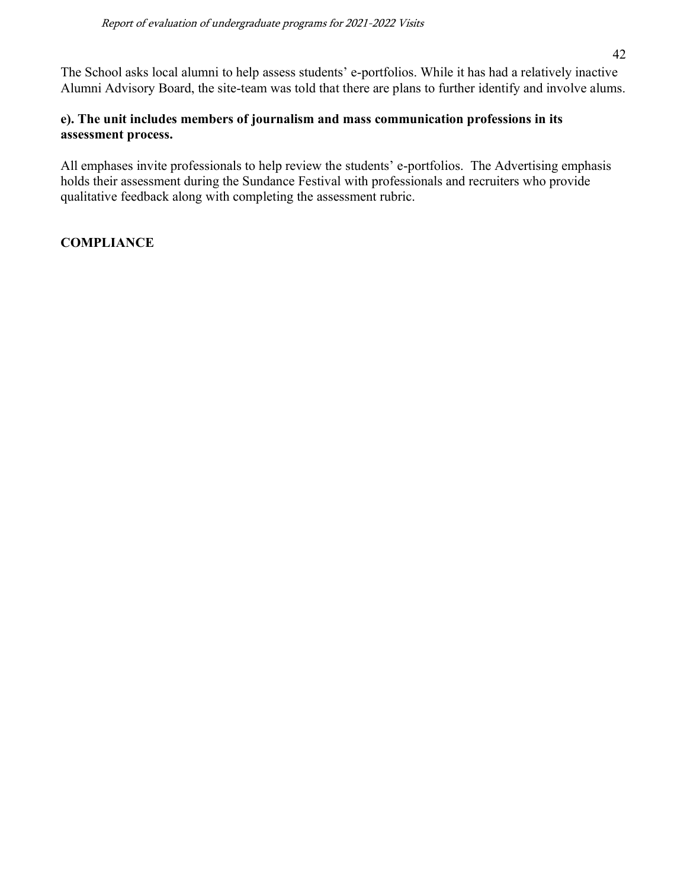The School asks local alumni to help assess students' e-portfolios. While it has had a relatively inactive Alumni Advisory Board, the site-team was told that there are plans to further identify and involve alums.

#### **e). The unit includes members of journalism and mass communication professions in its assessment process.**

All emphases invite professionals to help review the students' e-portfolios. The Advertising emphasis holds their assessment during the Sundance Festival with professionals and recruiters who provide qualitative feedback along with completing the assessment rubric.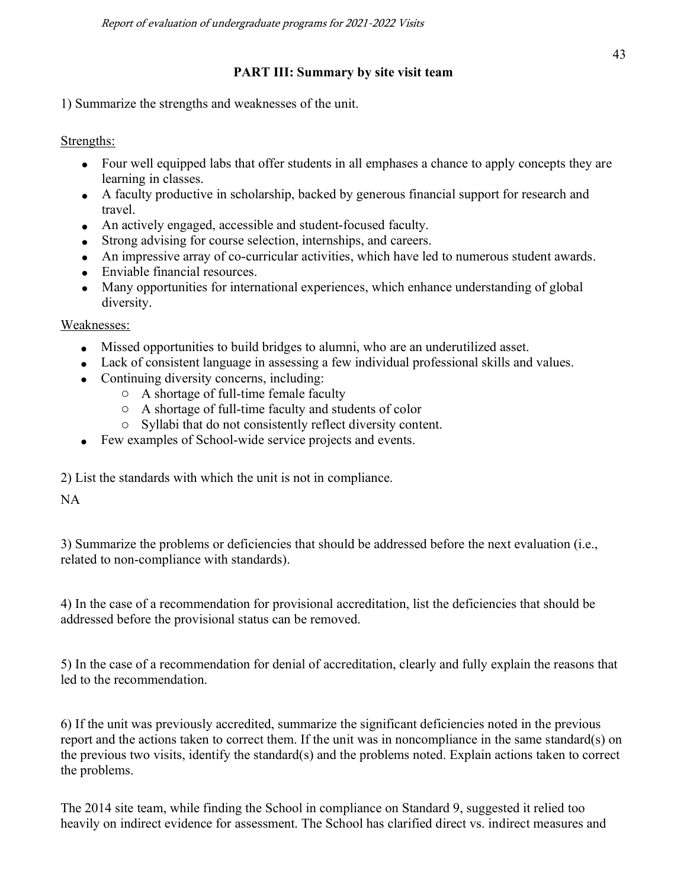# **PART III: Summary by site visit team**

1) Summarize the strengths and weaknesses of the unit.

Strengths:

- Four well equipped labs that offer students in all emphases a chance to apply concepts they are learning in classes.
- A faculty productive in scholarship, backed by generous financial support for research and travel.
- An actively engaged, accessible and student-focused faculty.
- Strong advising for course selection, internships, and careers.
- An impressive array of co-curricular activities, which have led to numerous student awards.
- Enviable financial resources.
- Many opportunities for international experiences, which enhance understanding of global diversity.

Weaknesses:

- Missed opportunities to build bridges to alumni, who are an underutilized asset.
- Lack of consistent language in assessing a few individual professional skills and values.
- Continuing diversity concerns, including:
	- o A shortage of full-time female faculty
	- o A shortage of full-time faculty and students of color
	- o Syllabi that do not consistently reflect diversity content.
- Few examples of School-wide service projects and events.
- 2) List the standards with which the unit is not in compliance.

NA

3) Summarize the problems or deficiencies that should be addressed before the next evaluation (i.e., related to non-compliance with standards).

4) In the case of a recommendation for provisional accreditation, list the deficiencies that should be addressed before the provisional status can be removed.

5) In the case of a recommendation for denial of accreditation, clearly and fully explain the reasons that led to the recommendation.

6) If the unit was previously accredited, summarize the significant deficiencies noted in the previous report and the actions taken to correct them. If the unit was in noncompliance in the same standard(s) on the previous two visits, identify the standard(s) and the problems noted. Explain actions taken to correct the problems.

The 2014 site team, while finding the School in compliance on Standard 9, suggested it relied too heavily on indirect evidence for assessment. The School has clarified direct vs. indirect measures and